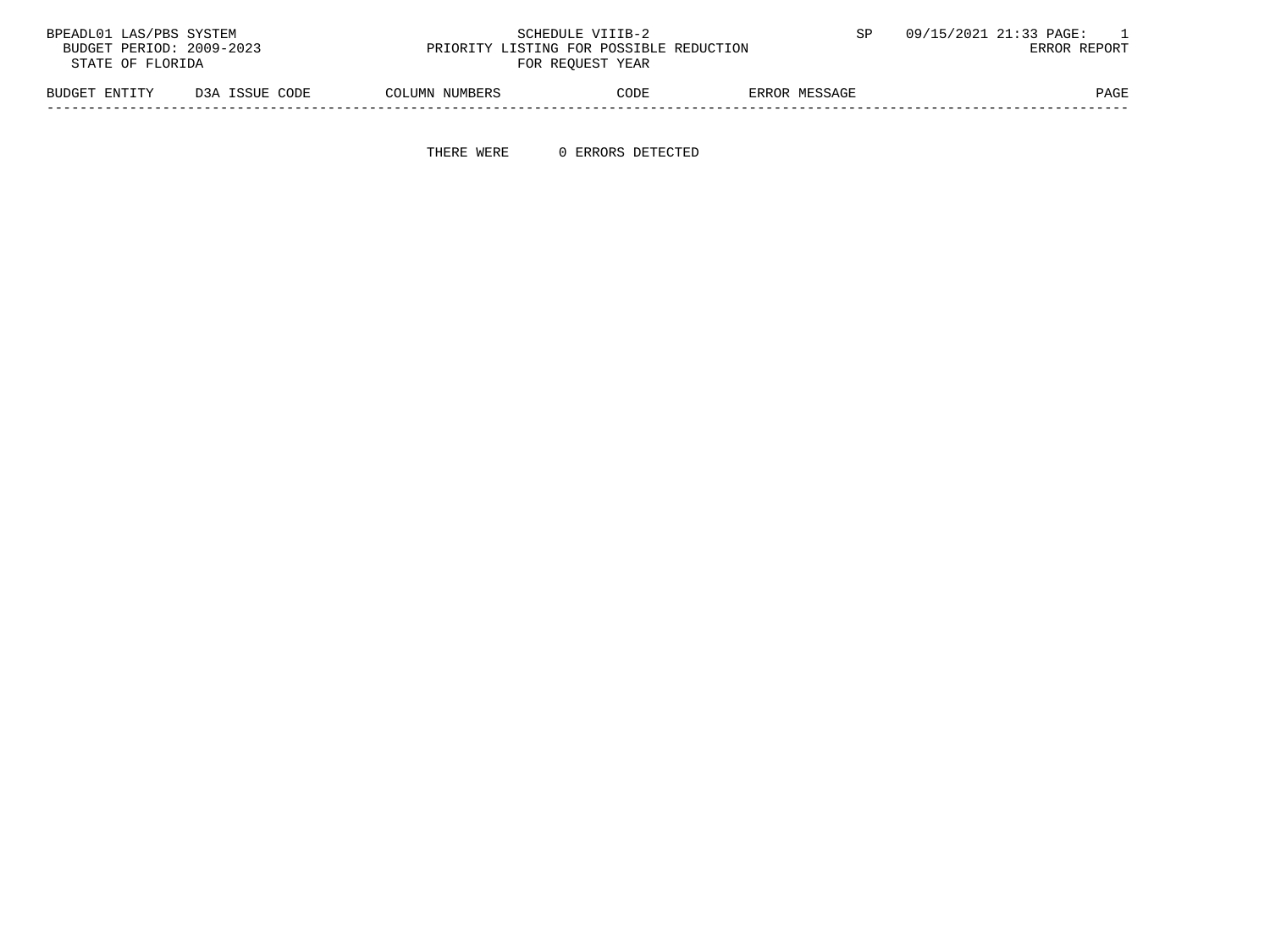| BPEADL01 LAS/PBS SYSTEM  |                |                | SCHEDULE VIIIB-2                        |               | 09/15/2021 21:33 PAGE: |
|--------------------------|----------------|----------------|-----------------------------------------|---------------|------------------------|
| BUDGET PERIOD: 2009-2023 |                |                | PRIORITY LISTING FOR POSSIBLE REDUCTION |               | ERROR REPORT           |
| STATE OF FLORIDA         |                |                | FOR REOUEST YEAR                        |               |                        |
| BUDGET ENTITY            | D3A ISSUE CODE | COLUMN NUMBERS | CODE                                    | ERROR MESSAGE | PAGE                   |

-----------------------------------------------------------------------------------------------------------------------------------

THERE WERE 0 ERRORS DETECTED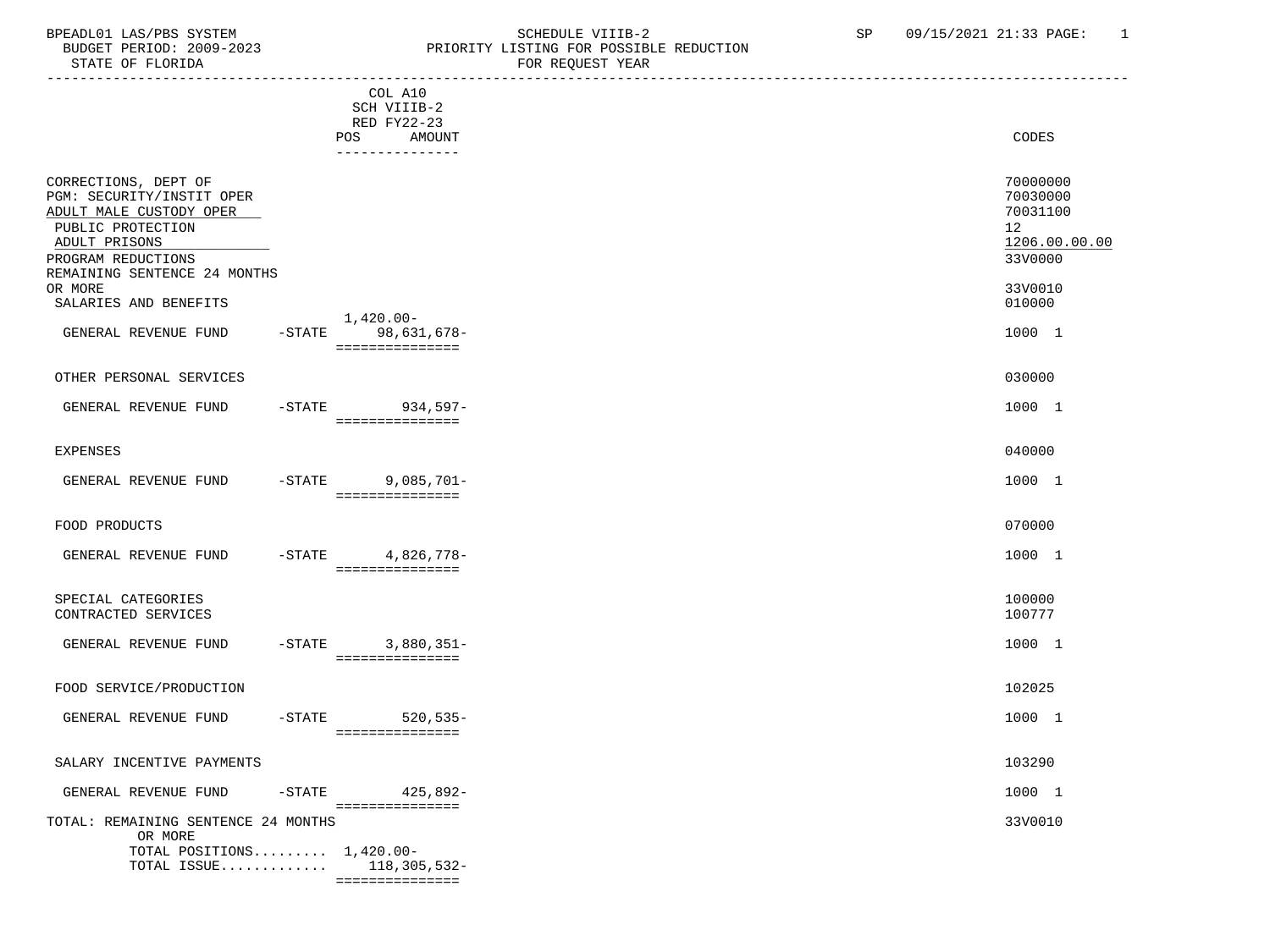# BPEADL01 LAS/PBS SYSTEM SCHEDULE VIIIB-2 SCHEDULE VIIIB-2 SP 09/15/2021 21:33 PAGE: 1<br>BUDGET PERIOD: 2009-2023 PRIORITY LISTING FOR POSSIBLE REDUCTION BUDGET PERIOD: 2009-2023 PRIORITY LISTING FOR POSSIBLE REDUCTION FOR REQUEST YEAR

|                                                                                                                                                                          |           | COL A10<br>SCH VIIIB-2<br>RED FY22-23              |                                                                    |
|--------------------------------------------------------------------------------------------------------------------------------------------------------------------------|-----------|----------------------------------------------------|--------------------------------------------------------------------|
|                                                                                                                                                                          |           | POS<br>AMOUNT<br>---------------                   | CODES                                                              |
| CORRECTIONS, DEPT OF<br>PGM: SECURITY/INSTIT OPER<br>ADULT MALE CUSTODY OPER<br>PUBLIC PROTECTION<br>ADULT PRISONS<br>PROGRAM REDUCTIONS<br>REMAINING SENTENCE 24 MONTHS |           |                                                    | 70000000<br>70030000<br>70031100<br>12<br>1206.00.00.00<br>33V0000 |
| OR MORE<br>SALARIES AND BENEFITS                                                                                                                                         |           |                                                    | 33V0010<br>010000                                                  |
| GENERAL REVENUE FUND                                                                                                                                                     |           | 1,420.00-<br>-STATE 98,631,678-<br>=============== | 1000 1                                                             |
| OTHER PERSONAL SERVICES                                                                                                                                                  |           |                                                    | 030000                                                             |
| GENERAL REVENUE FUND                                                                                                                                                     |           | -STATE 934,597-<br>===============                 | 1000 1                                                             |
| <b>EXPENSES</b>                                                                                                                                                          |           |                                                    | 040000                                                             |
| GENERAL REVENUE FUND                                                                                                                                                     |           | $-STATE$ 9,085,701-<br>===============             | 1000 1                                                             |
| FOOD PRODUCTS                                                                                                                                                            |           |                                                    | 070000                                                             |
| GENERAL REVENUE FUND                                                                                                                                                     |           | -STATE 4,826,778-<br>===============               | 1000 1                                                             |
| SPECIAL CATEGORIES<br>CONTRACTED SERVICES                                                                                                                                |           |                                                    | 100000<br>100777                                                   |
| GENERAL REVENUE FUND                                                                                                                                                     | $-STATE$  | 3,880,351-<br>===============                      | 1000 1                                                             |
| FOOD SERVICE/PRODUCTION                                                                                                                                                  |           |                                                    | 102025                                                             |
| GENERAL REVENUE FUND                                                                                                                                                     | $-$ STATE | $520, 535 -$<br>===============                    | 1000 1                                                             |
| SALARY INCENTIVE PAYMENTS                                                                                                                                                |           |                                                    | 103290                                                             |
| GENERAL REVENUE FUND                                                                                                                                                     | $-$ STATE | 425,892-<br>===============                        | 1000 1                                                             |
| TOTAL: REMAINING SENTENCE 24 MONTHS<br>OR MORE<br>TOTAL POSITIONS $1,420.00-$<br>TOTAL ISSUE                                                                             |           | 118,305,532-                                       | 33V0010                                                            |

===============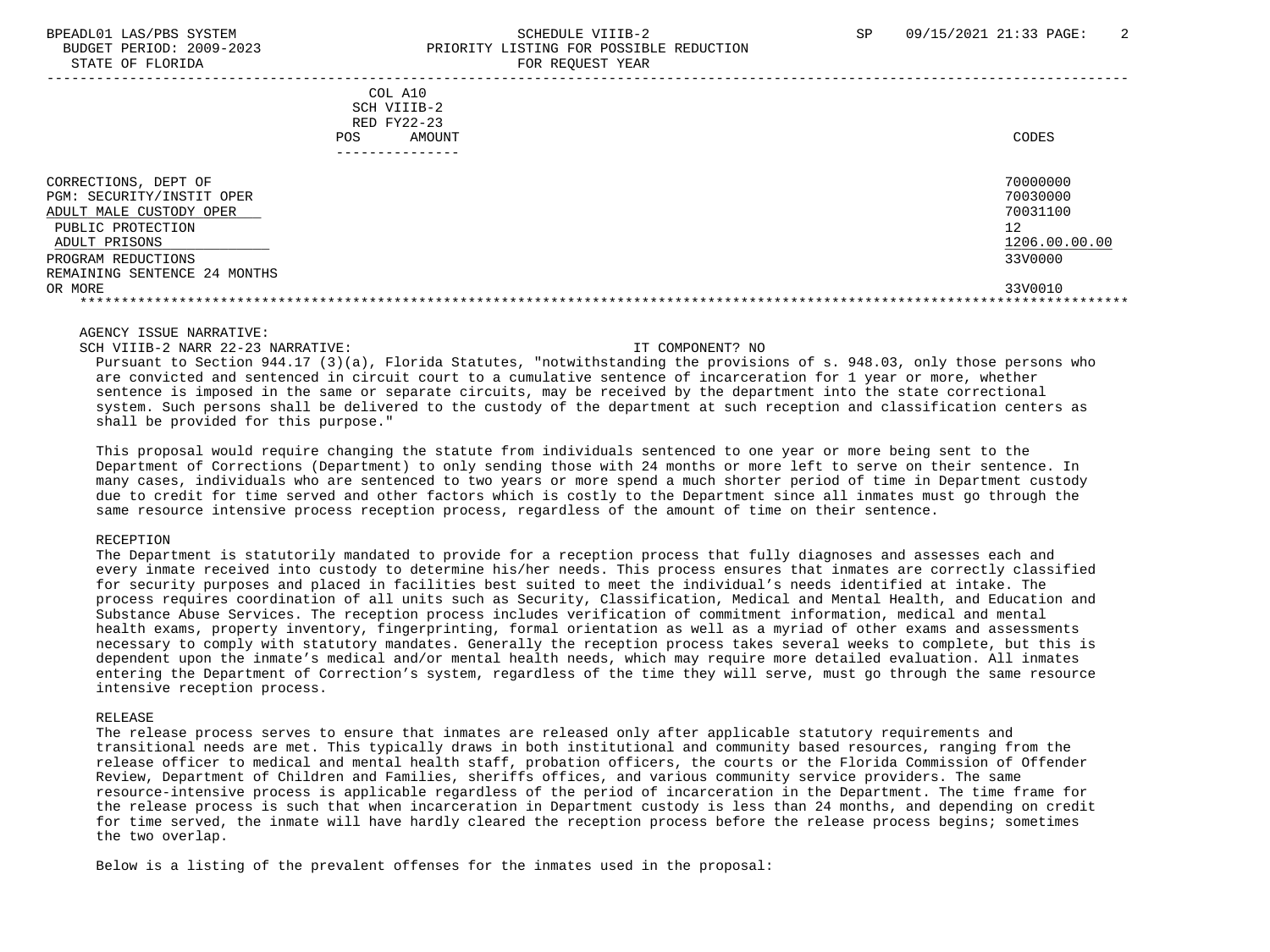# BPEADL01 LAS/PBS SYSTEM SALL SALL SOMEDULE VIIIB-2 SP 09/15/2021 21:33 PAGE: 2 BUDGET PERIOD: 2009-2023 PRIORITY LISTING FOR POSSIBLE REDUCTION

STATE OF FLORIDA **FOR REQUEST YEAR**  ----------------------------------------------------------------------------------------------------------------------------------- COL A10 SCH VIIIB-2 RED FY22-23 POS AMOUNT NOTES AND RESERVE AND RESERVE AND RESERVE AND RESERVE AND RESERVE AND RESERVE AND RESERVE AND RESERVE AND RESERVE AND RESERVE A LODGE STATES OF A LODGE STATES OF A LODGE STATES OF A LODGE STATES OF A LODGE STATE --------------- CORRECTIONS, DEPT OF 70000000<br>PGM: SECURITY/INSTIT OPER 70030000 PGM: SECURITY/INSTIT OPER 70030000<br>ADULT MALE CUSTODY OPER 70031100 ADULT MALE CUSTODY OPER PUBLIC PROTECTION 12 ADULT PRISONS 1206.00.00.00 and the set of the set of the set of the set of the set of the set of the set of the set of the set of the set of the set of the set of the set of the set of the set of the set of the set of the PROGRAM REDUCTIONS 33V0000 REMAINING SENTENCE 24 MONTHS OR MORE 33V0010 \*\*\*\*\*\*\*\*\*\*\*\*\*\*\*\*\*\*\*\*\*\*\*\*\*\*\*\*\*\*\*\*\*\*\*\*\*\*\*\*\*\*\*\*\*\*\*\*\*\*\*\*\*\*\*\*\*\*\*\*\*\*\*\*\*\*\*\*\*\*\*\*\*\*\*\*\*\*\*\*\*\*\*\*\*\*\*\*\*\*\*\*\*\*\*\*\*\*\*\*\*\*\*\*\*\*\*\*\*\*\*\*\*\*\*\*\*\*\*\*\*\*\*\*\*\*\*

AGENCY ISSUE NARRATIVE:

SCH VIIIB-2 NARR 22-23 NARRATIVE: IT COMPONENT? NO

 Pursuant to Section 944.17 (3)(a), Florida Statutes, "notwithstanding the provisions of s. 948.03, only those persons who are convicted and sentenced in circuit court to a cumulative sentence of incarceration for 1 year or more, whether sentence is imposed in the same or separate circuits, may be received by the department into the state correctional system. Such persons shall be delivered to the custody of the department at such reception and classification centers as shall be provided for this purpose."

 This proposal would require changing the statute from individuals sentenced to one year or more being sent to the Department of Corrections (Department) to only sending those with 24 months or more left to serve on their sentence. In many cases, individuals who are sentenced to two years or more spend a much shorter period of time in Department custody due to credit for time served and other factors which is costly to the Department since all inmates must go through the same resource intensive process reception process, regardless of the amount of time on their sentence.

### RECEPTION

 The Department is statutorily mandated to provide for a reception process that fully diagnoses and assesses each and every inmate received into custody to determine his/her needs. This process ensures that inmates are correctly classified for security purposes and placed in facilities best suited to meet the individual's needs identified at intake. The process requires coordination of all units such as Security, Classification, Medical and Mental Health, and Education and Substance Abuse Services. The reception process includes verification of commitment information, medical and mental health exams, property inventory, fingerprinting, formal orientation as well as a myriad of other exams and assessments necessary to comply with statutory mandates. Generally the reception process takes several weeks to complete, but this is dependent upon the inmate's medical and/or mental health needs, which may require more detailed evaluation. All inmates entering the Department of Correction's system, regardless of the time they will serve, must go through the same resource intensive reception process.

### RELEASE

 The release process serves to ensure that inmates are released only after applicable statutory requirements and transitional needs are met. This typically draws in both institutional and community based resources, ranging from the release officer to medical and mental health staff, probation officers, the courts or the Florida Commission of Offender Review, Department of Children and Families, sheriffs offices, and various community service providers. The same resource-intensive process is applicable regardless of the period of incarceration in the Department. The time frame for the release process is such that when incarceration in Department custody is less than 24 months, and depending on credit for time served, the inmate will have hardly cleared the reception process before the release process begins; sometimes the two overlap.

Below is a listing of the prevalent offenses for the inmates used in the proposal: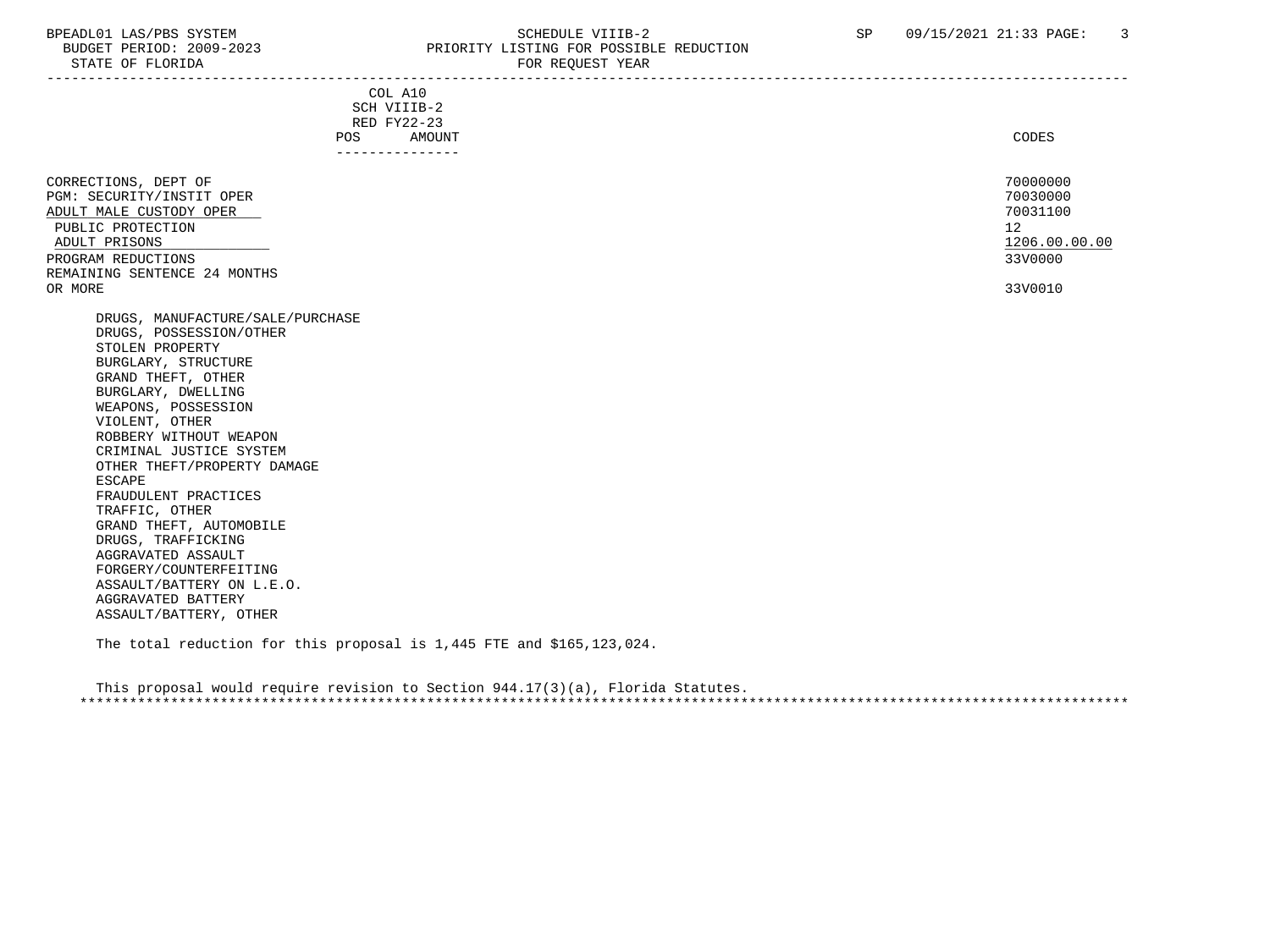# BPEADL01 LAS/PBS SYSTEM SALL STRING THE SCHEDULE VIIIB-2 SP 09/15/2021 21:33 PAGE: 3<br>BUDGET PERIOD: 2009-2023 PRIORITY LISTING FOR POSSIBLE REDUCTION PRIORITY LISTING FOR POSSIBLE REDUCTION

| STATE OF FLORIDA                                                                                                                                                                                                                                                                                                                                                                                                                                                                                                                                                                                                                                                                                               | FOR REQUEST YEAR                                                                 |                                                                               |
|----------------------------------------------------------------------------------------------------------------------------------------------------------------------------------------------------------------------------------------------------------------------------------------------------------------------------------------------------------------------------------------------------------------------------------------------------------------------------------------------------------------------------------------------------------------------------------------------------------------------------------------------------------------------------------------------------------------|----------------------------------------------------------------------------------|-------------------------------------------------------------------------------|
|                                                                                                                                                                                                                                                                                                                                                                                                                                                                                                                                                                                                                                                                                                                | COL A10<br>SCH VIIIB-2<br>RED FY22-23<br>POS<br><b>AMOUNT</b><br>--------------- | CODES                                                                         |
| CORRECTIONS, DEPT OF<br>PGM: SECURITY/INSTIT OPER<br>ADULT MALE CUSTODY OPER<br>PUBLIC PROTECTION<br>ADULT PRISONS<br>PROGRAM REDUCTIONS<br>REMAINING SENTENCE 24 MONTHS<br>OR MORE<br>DRUGS, MANUFACTURE/SALE/PURCHASE<br>DRUGS, POSSESSION/OTHER<br>STOLEN PROPERTY<br>BURGLARY, STRUCTURE<br>GRAND THEFT, OTHER<br>BURGLARY, DWELLING<br>WEAPONS, POSSESSION<br>VIOLENT, OTHER<br>ROBBERY WITHOUT WEAPON<br>CRIMINAL JUSTICE SYSTEM<br>OTHER THEFT/PROPERTY DAMAGE<br><b>ESCAPE</b><br>FRAUDULENT PRACTICES<br>TRAFFIC, OTHER<br>GRAND THEFT, AUTOMOBILE<br>DRUGS, TRAFFICKING<br>AGGRAVATED ASSAULT<br>FORGERY/COUNTERFEITING<br>ASSAULT/BATTERY ON L.E.O.<br>AGGRAVATED BATTERY<br>ASSAULT/BATTERY, OTHER |                                                                                  | 70000000<br>70030000<br>70031100<br>12<br>1206.00.00.00<br>33V0000<br>33V0010 |

The total reduction for this proposal is 1,445 FTE and \$165,123,024.

 This proposal would require revision to Section 944.17(3)(a), Florida Statutes. \*\*\*\*\*\*\*\*\*\*\*\*\*\*\*\*\*\*\*\*\*\*\*\*\*\*\*\*\*\*\*\*\*\*\*\*\*\*\*\*\*\*\*\*\*\*\*\*\*\*\*\*\*\*\*\*\*\*\*\*\*\*\*\*\*\*\*\*\*\*\*\*\*\*\*\*\*\*\*\*\*\*\*\*\*\*\*\*\*\*\*\*\*\*\*\*\*\*\*\*\*\*\*\*\*\*\*\*\*\*\*\*\*\*\*\*\*\*\*\*\*\*\*\*\*\*\*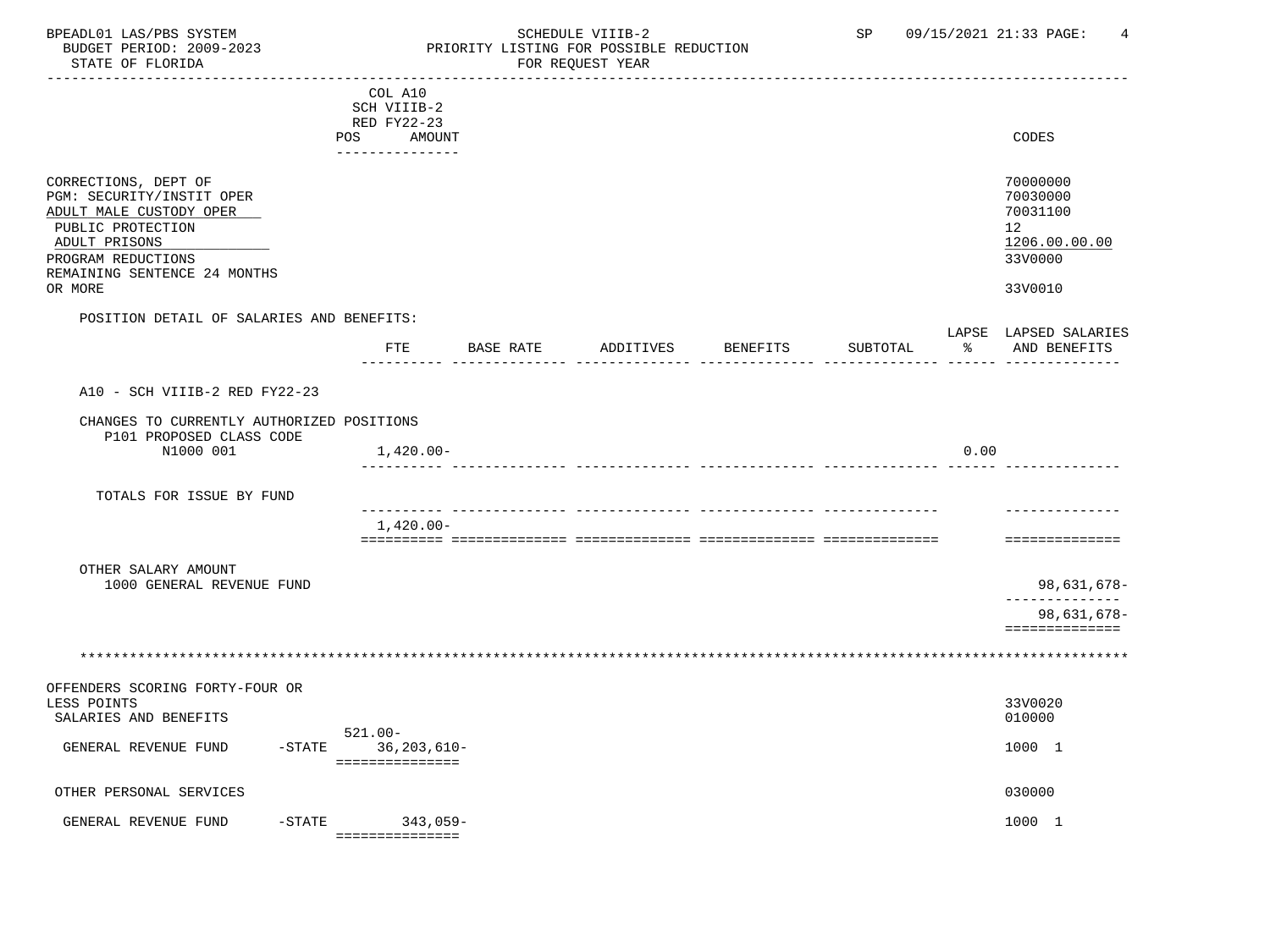# BPEADL01 LAS/PBS SYSTEM SALLE STRING THE SCHEDULE VIIIB-2 SP 09/15/2021 21:33 PAGE: 4<br>BUDGET PERIOD: 2009-2023 PRIORITY LISTING FOR POSSIBLE REDUCTION BUDGET PERIOD: 2009-2023 PRIORITY LISTING FOR POSSIBLE REDUCTION<br>FOR REQUEST YEAR FOR REQUEST YEAR

|                                                                       |         | COL A10                |               |           |                 |          |      |                                       |
|-----------------------------------------------------------------------|---------|------------------------|---------------|-----------|-----------------|----------|------|---------------------------------------|
|                                                                       |         | SCH VIIIB-2            |               |           |                 |          |      |                                       |
|                                                                       |         | RED FY22-23            |               |           |                 |          |      |                                       |
|                                                                       | POS     | AMOUNT                 |               |           |                 |          |      | CODES                                 |
| CORRECTIONS, DEPT OF<br>PGM: SECURITY/INSTIT OPER                     |         |                        |               |           |                 |          |      | 70000000<br>70030000                  |
| ADULT MALE CUSTODY OPER                                               |         |                        |               |           |                 |          |      | 70031100                              |
| PUBLIC PROTECTION                                                     |         |                        |               |           |                 |          |      | 12                                    |
| ADULT PRISONS                                                         |         |                        |               |           |                 |          |      | 1206.00.00.00                         |
| PROGRAM REDUCTIONS                                                    |         |                        |               |           |                 |          |      | 33V0000                               |
| REMAINING SENTENCE 24 MONTHS                                          |         |                        |               |           |                 |          |      |                                       |
| OR MORE                                                               |         |                        |               |           |                 |          |      | 33V0010                               |
| POSITION DETAIL OF SALARIES AND BENEFITS:                             |         |                        |               |           |                 |          |      |                                       |
|                                                                       |         |                        | FTE BASE RATE | ADDITIVES | <b>BENEFITS</b> | SUBTOTAL | ႜ    | LAPSE LAPSED SALARIES<br>AND BENEFITS |
|                                                                       |         |                        |               |           |                 |          |      |                                       |
|                                                                       |         |                        |               |           |                 |          |      |                                       |
| A10 - SCH VIIIB-2 RED FY22-23                                         |         |                        |               |           |                 |          |      |                                       |
| CHANGES TO CURRENTLY AUTHORIZED POSITIONS<br>P101 PROPOSED CLASS CODE |         |                        |               |           |                 |          |      |                                       |
| N1000 001                                                             |         | 1,420.00-              |               |           |                 |          | 0.00 |                                       |
|                                                                       |         |                        |               |           |                 |          |      |                                       |
| TOTALS FOR ISSUE BY FUND                                              |         |                        |               |           |                 |          |      |                                       |
|                                                                       |         |                        |               |           |                 |          |      |                                       |
|                                                                       |         | 1,420.00-              |               |           |                 |          |      |                                       |
|                                                                       |         |                        |               |           |                 |          |      | ==============                        |
| OTHER SALARY AMOUNT                                                   |         |                        |               |           |                 |          |      |                                       |
| 1000 GENERAL REVENUE FUND                                             |         |                        |               |           |                 |          |      | 98,631,678-                           |
|                                                                       |         |                        |               |           |                 |          |      |                                       |
|                                                                       |         |                        |               |           |                 |          |      | 98,631,678-                           |
|                                                                       |         |                        |               |           |                 |          |      | $=$ = = = = = = = = = = = = =         |
|                                                                       |         |                        |               |           |                 |          |      |                                       |
|                                                                       |         |                        |               |           |                 |          |      |                                       |
| OFFENDERS SCORING FORTY-FOUR OR                                       |         |                        |               |           |                 |          |      |                                       |
| LESS POINTS<br>SALARIES AND BENEFITS                                  |         |                        |               |           |                 |          |      | 33V0020<br>010000                     |
|                                                                       | 521.00- |                        |               |           |                 |          |      |                                       |
| GENERAL REVENUE FUND                                                  |         | $-STATE$ 36, 203, 610- |               |           |                 |          |      | 1000 1                                |
|                                                                       |         | ===============        |               |           |                 |          |      |                                       |
|                                                                       |         |                        |               |           |                 |          |      |                                       |
| OTHER PERSONAL SERVICES                                               |         |                        |               |           |                 |          |      | 030000                                |
| $-$ STATE<br>GENERAL REVENUE FUND                                     |         | $343,059-$             |               |           |                 |          |      | 1000 1                                |
|                                                                       |         | ===============        |               |           |                 |          |      |                                       |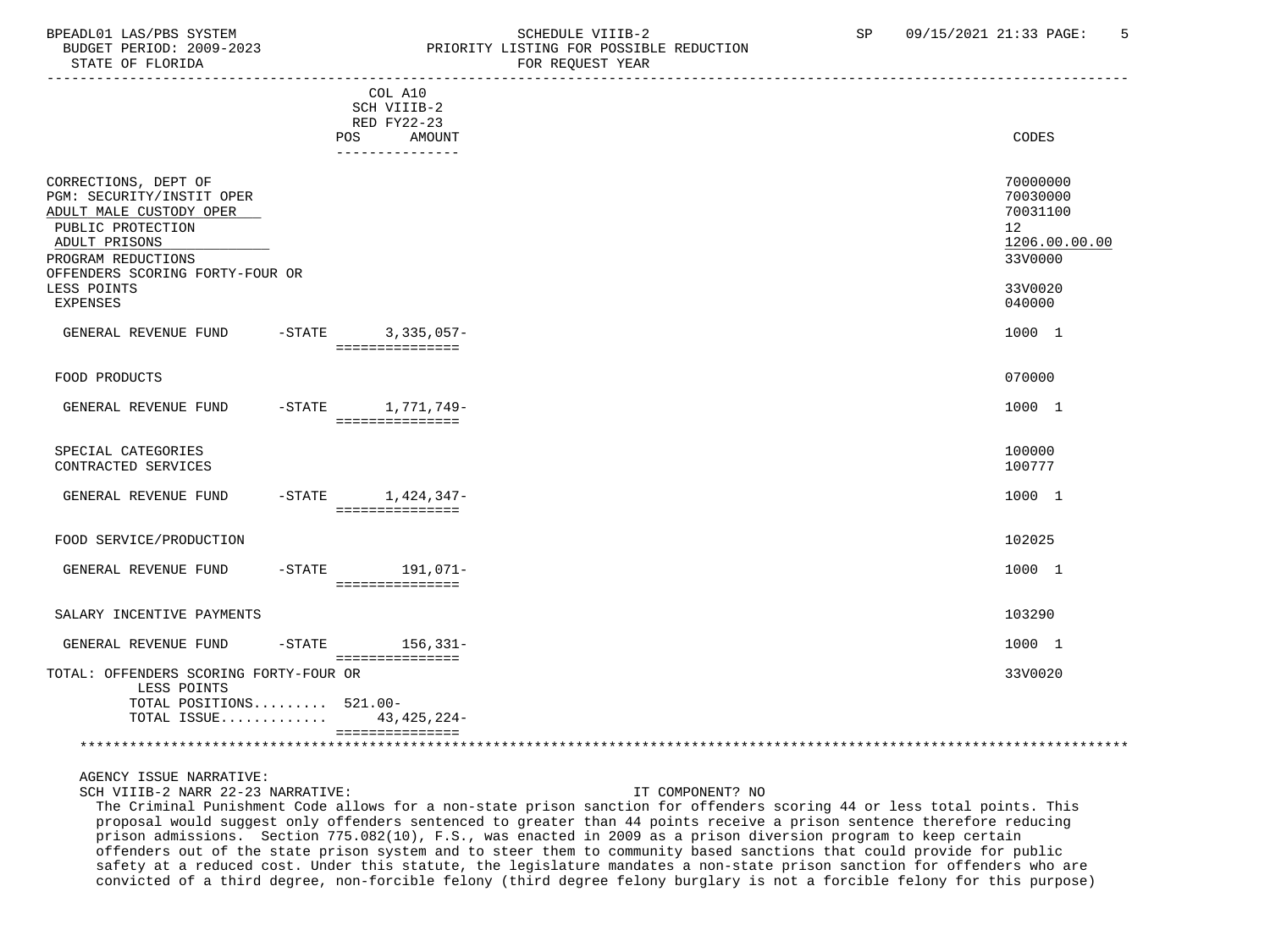### BPEADL01 LAS/PBS SYSTEM SOHEDULE VIIIB-2 SCHEDULE VIIIB-2 SP 09/15/2021 21:33 PAGE: 5 BUDGET PERIOD: 2009-2023 PRIORITY LISTING FOR POSSIBLE REDUCTION STATE OF FLORIDA FOR REQUEST YEAR

|                                                                                                                                                                                                               |           |                                                                                  | r on nugunur rum |                                                                                         |
|---------------------------------------------------------------------------------------------------------------------------------------------------------------------------------------------------------------|-----------|----------------------------------------------------------------------------------|------------------|-----------------------------------------------------------------------------------------|
|                                                                                                                                                                                                               |           | COL A10<br>SCH VIIIB-2<br>RED FY22-23<br><b>POS</b><br>AMOUNT<br>--------------- |                  | CODES                                                                                   |
| CORRECTIONS, DEPT OF<br>PGM: SECURITY/INSTIT OPER<br>ADULT MALE CUSTODY OPER<br>PUBLIC PROTECTION<br>ADULT PRISONS<br>PROGRAM REDUCTIONS<br>OFFENDERS SCORING FORTY-FOUR OR<br>LESS POINTS<br><b>EXPENSES</b> |           |                                                                                  |                  | 70000000<br>70030000<br>70031100<br>12<br>1206.00.00.00<br>33V0000<br>33V0020<br>040000 |
| GENERAL REVENUE FUND                                                                                                                                                                                          |           | -STATE 3,335,057-<br>===============                                             |                  | 1000 1                                                                                  |
| FOOD PRODUCTS                                                                                                                                                                                                 |           |                                                                                  |                  | 070000                                                                                  |
| GENERAL REVENUE FUND                                                                                                                                                                                          |           | -STATE 1,771,749-<br>===============                                             |                  | 1000 1                                                                                  |
| SPECIAL CATEGORIES<br>CONTRACTED SERVICES                                                                                                                                                                     |           |                                                                                  |                  | 100000<br>100777                                                                        |
| GENERAL REVENUE FUND                                                                                                                                                                                          |           | $-STATE$ 1, 424, 347-<br>===============                                         |                  | 1000 1                                                                                  |
| FOOD SERVICE/PRODUCTION                                                                                                                                                                                       |           |                                                                                  |                  | 102025                                                                                  |
| GENERAL REVENUE FUND                                                                                                                                                                                          |           | -STATE 191,071-<br>===============                                               |                  | 1000 1                                                                                  |
| SALARY INCENTIVE PAYMENTS                                                                                                                                                                                     |           |                                                                                  |                  | 103290                                                                                  |
| GENERAL REVENUE FUND                                                                                                                                                                                          | $-$ STATE | $156,331-$<br>===============                                                    |                  | 1000 1                                                                                  |
| TOTAL: OFFENDERS SCORING FORTY-FOUR OR<br>LESS POINTS<br>TOTAL POSITIONS 521.00-<br>TOTAL ISSUE                                                                                                               |           | 43, 425, 224-                                                                    |                  | 33V0020                                                                                 |
|                                                                                                                                                                                                               |           | ===============                                                                  |                  |                                                                                         |

AGENCY ISSUE NARRATIVE:

SCH VIIIB-2 NARR 22-23 NARRATIVE: IT COMPONENT? NO

 The Criminal Punishment Code allows for a non-state prison sanction for offenders scoring 44 or less total points. This proposal would suggest only offenders sentenced to greater than 44 points receive a prison sentence therefore reducing prison admissions. Section 775.082(10), F.S., was enacted in 2009 as a prison diversion program to keep certain offenders out of the state prison system and to steer them to community based sanctions that could provide for public safety at a reduced cost. Under this statute, the legislature mandates a non-state prison sanction for offenders who are convicted of a third degree, non-forcible felony (third degree felony burglary is not a forcible felony for this purpose)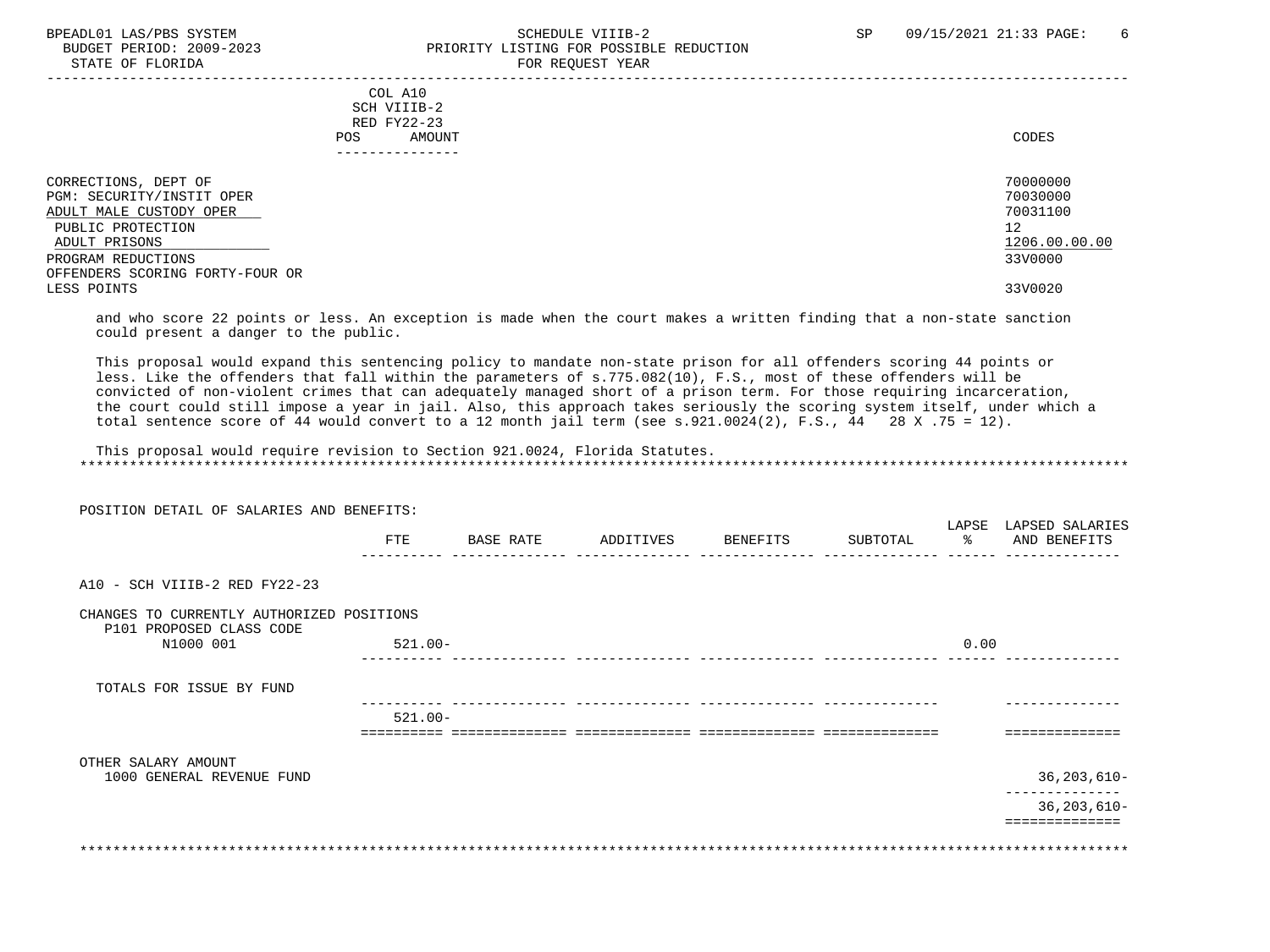## BPEADL01 LAS/PBS SYSTEM STRING THE SCHEDULE VIIIB-2 SCHEDULE VIIIB-2 SP 09/15/2021 21:33 PAGE: 6 PRIORITY LISTING FOR POSSIBLE REDUCTION STATE OF FLORIDA FOR REQUEST YEAR

| COL A10<br>SCH VIIIB-2<br>RED FY22-23<br>AMOUNT<br>POS.                                                            | CODES                                                   |
|--------------------------------------------------------------------------------------------------------------------|---------------------------------------------------------|
| CORRECTIONS, DEPT OF<br>PGM: SECURITY/INSTIT OPER<br>ADULT MALE CUSTODY OPER<br>PUBLIC PROTECTION<br>ADULT PRISONS | 70000000<br>70030000<br>70031100<br>12<br>1206.00.00.00 |
| PROGRAM REDUCTIONS                                                                                                 | 33V0000                                                 |
| OFFENDERS SCORING FORTY-FOUR OR                                                                                    |                                                         |
| LESS POINTS                                                                                                        | 33V0020                                                 |

 and who score 22 points or less. An exception is made when the court makes a written finding that a non-state sanction could present a danger to the public.

 This proposal would expand this sentencing policy to mandate non-state prison for all offenders scoring 44 points or less. Like the offenders that fall within the parameters of s.775.082(10), F.S., most of these offenders will be convicted of non-violent crimes that can adequately managed short of a prison term. For those requiring incarceration, the court could still impose a year in jail. Also, this approach takes seriously the scoring system itself, under which a total sentence score of 44 would convert to a 12 month jail term (see s.921.0024(2), F.S., 44 28 X .75 = 12).

 This proposal would require revision to Section 921.0024, Florida Statutes. \*\*\*\*\*\*\*\*\*\*\*\*\*\*\*\*\*\*\*\*\*\*\*\*\*\*\*\*\*\*\*\*\*\*\*\*\*\*\*\*\*\*\*\*\*\*\*\*\*\*\*\*\*\*\*\*\*\*\*\*\*\*\*\*\*\*\*\*\*\*\*\*\*\*\*\*\*\*\*\*\*\*\*\*\*\*\*\*\*\*\*\*\*\*\*\*\*\*\*\*\*\*\*\*\*\*\*\*\*\*\*\*\*\*\*\*\*\*\*\*\*\*\*\*\*\*\*

| POSITION DETAIL OF SALARIES AND BENEFITS:                             |            |           |                    |          |               |                                       |
|-----------------------------------------------------------------------|------------|-----------|--------------------|----------|---------------|---------------------------------------|
|                                                                       | FTE        | BASE RATE | ADDITIVES BENEFITS | SUBTOTAL | $\sim$ $\sim$ | LAPSE LAPSED SALARIES<br>AND BENEFITS |
| A10 - SCH VIIIB-2 RED FY22-23                                         |            |           |                    |          |               |                                       |
|                                                                       |            |           |                    |          |               |                                       |
| CHANGES TO CURRENTLY AUTHORIZED POSITIONS<br>P101 PROPOSED CLASS CODE |            |           |                    |          |               |                                       |
| N1000 001                                                             | $521.00 -$ |           |                    |          | 0.00          |                                       |
|                                                                       |            |           |                    |          |               |                                       |
| TOTALS FOR ISSUE BY FUND                                              |            |           |                    |          |               |                                       |
|                                                                       | $521.00 -$ |           |                    |          |               |                                       |
|                                                                       |            |           |                    |          |               |                                       |
| OTHER SALARY AMOUNT                                                   |            |           |                    |          |               |                                       |
| 1000 GENERAL REVENUE FUND                                             |            |           |                    |          |               | 36, 203, 610-                         |
|                                                                       |            |           |                    |          |               | $36, 203, 610 -$                      |
|                                                                       |            |           |                    |          |               | --------------                        |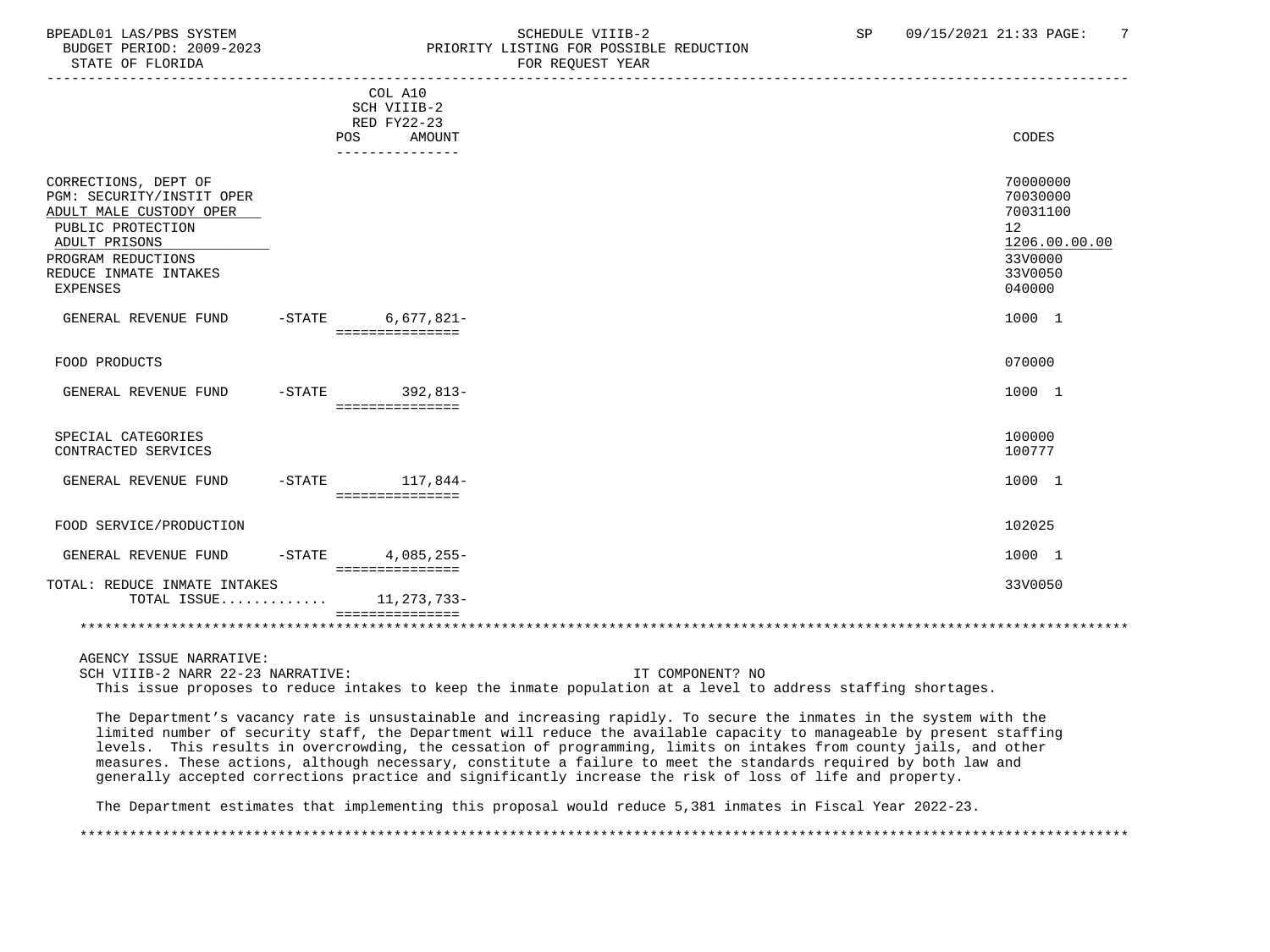STATE OF FLORIDA FOR STATE OF STATE OF STATE OF STATE OF STATE OF STATE OF STATE OF STATE OF STATE OF STATE OF STATE OF STATE OF STATE OF STATE OF STATE OF STATE OF STATE OF STATE OF STATE OF STATE OF STATE OF STATE OF STA

# BPEADL01 LAS/PBS SYSTEM SCHEDULE VIIIB-2 SCHEDULE VIIIB-2 SP 09/15/2021 21:33 PAGE: 7<br>BUDGET PERIOD: 2009-2023 SP PRIORITY LISTING FOR POSSIBLE REDUCTION PRIORITY LISTING FOR POSSIBLE REDUCTION

|                                                                                                                                                                                      |          | COL A10<br>SCH VIIIB-2<br>RED FY22-23<br>AMOUNT<br>POS<br>--------------- | CODES                                                                                   |
|--------------------------------------------------------------------------------------------------------------------------------------------------------------------------------------|----------|---------------------------------------------------------------------------|-----------------------------------------------------------------------------------------|
| CORRECTIONS, DEPT OF<br>PGM: SECURITY/INSTIT OPER<br>ADULT MALE CUSTODY OPER<br>PUBLIC PROTECTION<br>ADULT PRISONS<br>PROGRAM REDUCTIONS<br>REDUCE INMATE INTAKES<br><b>EXPENSES</b> |          |                                                                           | 70000000<br>70030000<br>70031100<br>12<br>1206.00.00.00<br>33V0000<br>33V0050<br>040000 |
| GENERAL REVENUE FUND                                                                                                                                                                 |          | -STATE 6,677,821-<br>===============                                      | 1000 1                                                                                  |
| FOOD PRODUCTS                                                                                                                                                                        |          |                                                                           | 070000                                                                                  |
| GENERAL REVENUE FUND                                                                                                                                                                 |          | -STATE 392,813-<br>===============                                        | 1000 1                                                                                  |
| SPECIAL CATEGORIES<br>CONTRACTED SERVICES                                                                                                                                            |          |                                                                           | 100000<br>100777                                                                        |
| GENERAL REVENUE FUND                                                                                                                                                                 |          | $-$ STATE $117, 844-$<br>===============                                  | 1000 1                                                                                  |
| FOOD SERVICE/PRODUCTION                                                                                                                                                              |          |                                                                           | 102025                                                                                  |
| GENERAL REVENUE FUND                                                                                                                                                                 | $-STATE$ | $4.085.255 -$<br>===============                                          | 1000 1                                                                                  |
| TOTAL: REDUCE INMATE INTAKES<br>TOTAL ISSUE $11,273,733-$                                                                                                                            |          |                                                                           | 33V0050                                                                                 |
|                                                                                                                                                                                      |          |                                                                           |                                                                                         |

AGENCY ISSUE NARRATIVE:

SCH VIIIB-2 NARR 22-23 NARRATIVE: IT COMPONENT? NO

This issue proposes to reduce intakes to keep the inmate population at a level to address staffing shortages.

 The Department's vacancy rate is unsustainable and increasing rapidly. To secure the inmates in the system with the limited number of security staff, the Department will reduce the available capacity to manageable by present staffing levels. This results in overcrowding, the cessation of programming, limits on intakes from county jails, and other measures. These actions, although necessary, constitute a failure to meet the standards required by both law and generally accepted corrections practice and significantly increase the risk of loss of life and property.

The Department estimates that implementing this proposal would reduce 5,381 inmates in Fiscal Year 2022-23.

\*\*\*\*\*\*\*\*\*\*\*\*\*\*\*\*\*\*\*\*\*\*\*\*\*\*\*\*\*\*\*\*\*\*\*\*\*\*\*\*\*\*\*\*\*\*\*\*\*\*\*\*\*\*\*\*\*\*\*\*\*\*\*\*\*\*\*\*\*\*\*\*\*\*\*\*\*\*\*\*\*\*\*\*\*\*\*\*\*\*\*\*\*\*\*\*\*\*\*\*\*\*\*\*\*\*\*\*\*\*\*\*\*\*\*\*\*\*\*\*\*\*\*\*\*\*\*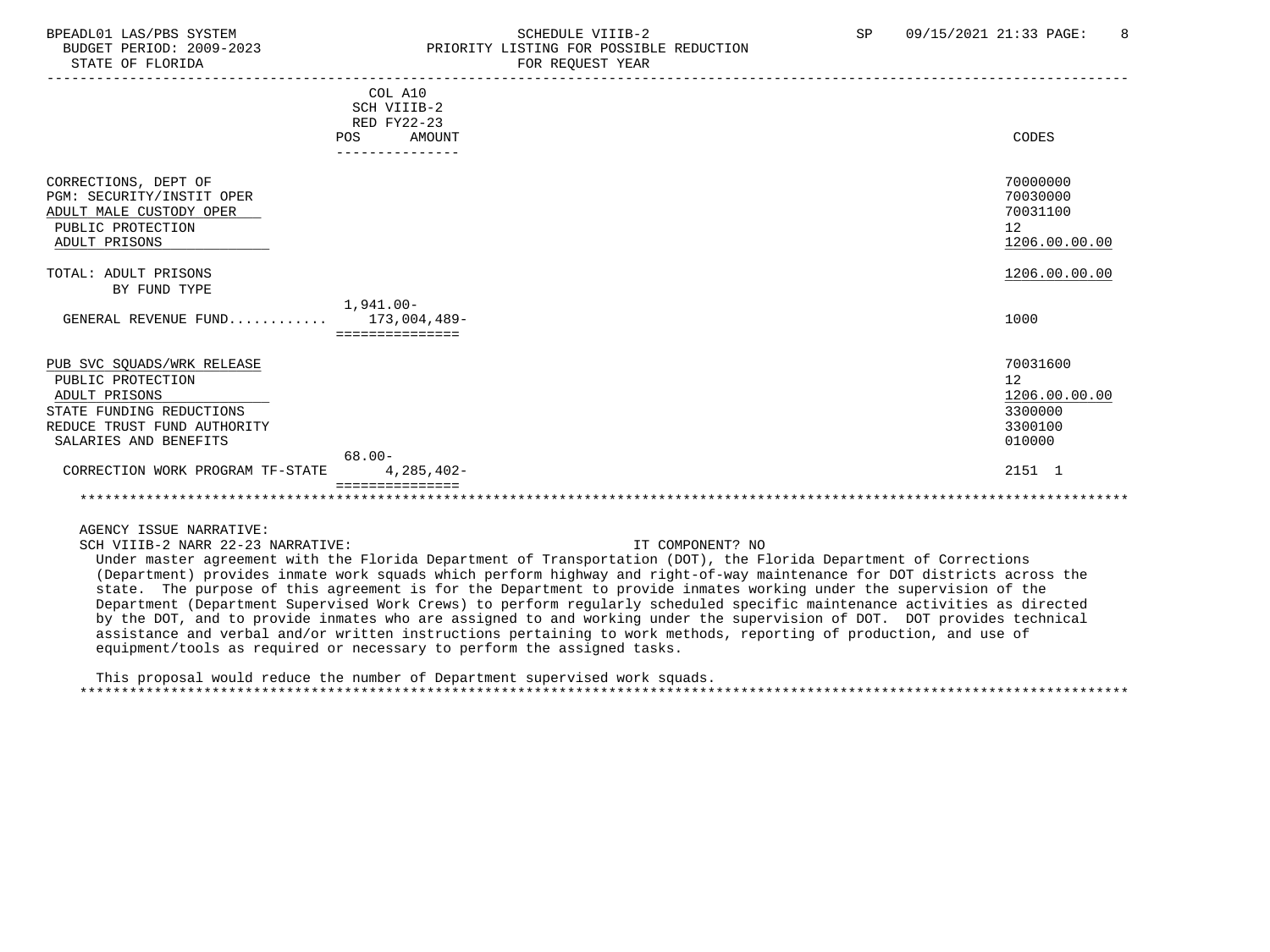# BPEADL01 LAS/PBS SYSTEM SOHEDULE VIIIB-2 SCHEDULE VIIIB-2 SP 09/15/2021 21:33 PAGE: 8 BUDGET PERIOD: 2009-2023 PRIORITY LISTING FOR POSSIBLE REDUCTION<br>STATE OF FLORIDA POR REOUEST YEAR FOR REQUEST YEAR

|                                                                                                                    | COL A10<br>SCH VIIIB-2<br>RED FY22-23 |                                                         |
|--------------------------------------------------------------------------------------------------------------------|---------------------------------------|---------------------------------------------------------|
|                                                                                                                    | AMOUNT<br>POS                         | CODES                                                   |
|                                                                                                                    |                                       |                                                         |
| CORRECTIONS, DEPT OF<br>PGM: SECURITY/INSTIT OPER<br>ADULT MALE CUSTODY OPER<br>PUBLIC PROTECTION<br>ADULT PRISONS |                                       | 70000000<br>70030000<br>70031100<br>12<br>1206.00.00.00 |
| TOTAL: ADULT PRISONS                                                                                               |                                       | 1206.00.00.00                                           |
| BY FUND TYPE                                                                                                       |                                       |                                                         |
|                                                                                                                    | $1,941.00 -$                          |                                                         |
| GENERAL REVENUE FUND                                                                                               | 173,004,489-                          | 1000                                                    |
|                                                                                                                    | ===============                       |                                                         |
|                                                                                                                    |                                       |                                                         |
| PUB SVC SQUADS/WRK RELEASE                                                                                         |                                       | 70031600                                                |
| PUBLIC PROTECTION                                                                                                  |                                       | 12                                                      |
| ADULT PRISONS                                                                                                      |                                       | 1206.00.00.00                                           |
| STATE FUNDING REDUCTIONS                                                                                           |                                       | 3300000                                                 |
| REDUCE TRUST FUND AUTHORITY                                                                                        |                                       | 3300100                                                 |
| SALARIES AND BENEFITS                                                                                              |                                       | 010000                                                  |
|                                                                                                                    | $68.00 -$                             |                                                         |
| CORRECTION WORK PROGRAM TF-STATE                                                                                   | $4,285,402-$                          | 2151 1                                                  |
|                                                                                                                    |                                       |                                                         |
|                                                                                                                    |                                       |                                                         |

AGENCY ISSUE NARRATIVE:

SCH VIIIB-2 NARR 22-23 NARRATIVE: IT COMPONENT? NO

 Under master agreement with the Florida Department of Transportation (DOT), the Florida Department of Corrections (Department) provides inmate work squads which perform highway and right-of-way maintenance for DOT districts across the state. The purpose of this agreement is for the Department to provide inmates working under the supervision of the Department (Department Supervised Work Crews) to perform regularly scheduled specific maintenance activities as directed by the DOT, and to provide inmates who are assigned to and working under the supervision of DOT. DOT provides technical assistance and verbal and/or written instructions pertaining to work methods, reporting of production, and use of equipment/tools as required or necessary to perform the assigned tasks.

 This proposal would reduce the number of Department supervised work squads. \*\*\*\*\*\*\*\*\*\*\*\*\*\*\*\*\*\*\*\*\*\*\*\*\*\*\*\*\*\*\*\*\*\*\*\*\*\*\*\*\*\*\*\*\*\*\*\*\*\*\*\*\*\*\*\*\*\*\*\*\*\*\*\*\*\*\*\*\*\*\*\*\*\*\*\*\*\*\*\*\*\*\*\*\*\*\*\*\*\*\*\*\*\*\*\*\*\*\*\*\*\*\*\*\*\*\*\*\*\*\*\*\*\*\*\*\*\*\*\*\*\*\*\*\*\*\*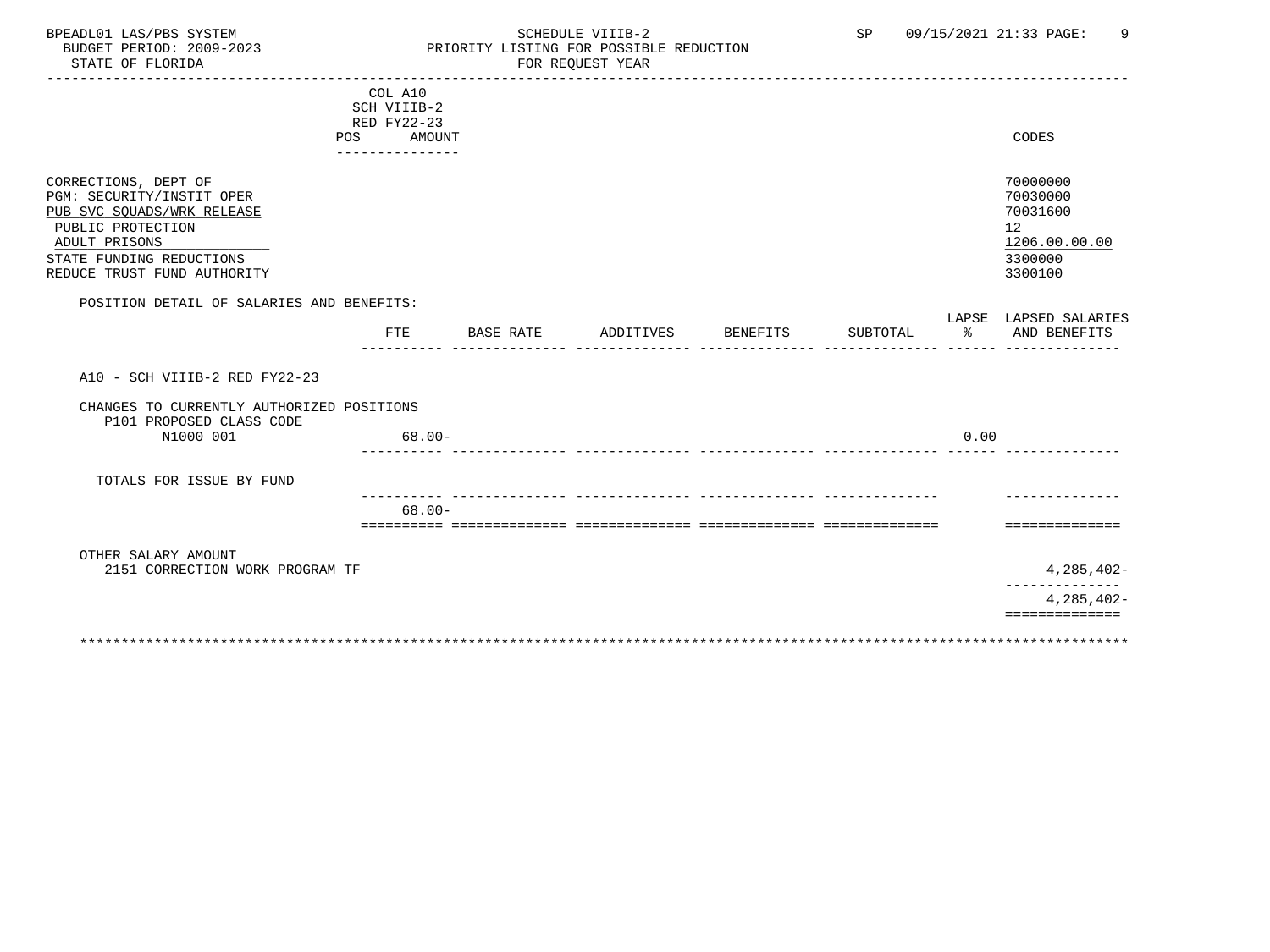# BPEADL01 LAS/PBS SYSTEM SCHEDULE VIIIB-2 SCHEDULE VIIIB-2 SP 09/15/2021 21:33 PAGE: 9 BUDGET PERIOD: 2009-2023 PRIORITY LISTING FOR POSSIBLE REDUCTION FOR REQUEST YEAR

|                                                 | COL A10                    |           |                    |          |      |                       |
|-------------------------------------------------|----------------------------|-----------|--------------------|----------|------|-----------------------|
|                                                 | SCH VIIIB-2<br>RED FY22-23 |           |                    |          |      |                       |
|                                                 | AMOUNT<br>POS              |           |                    |          |      | CODES                 |
|                                                 |                            |           |                    |          |      |                       |
|                                                 |                            |           |                    |          |      |                       |
| CORRECTIONS, DEPT OF                            |                            |           |                    |          |      | 70000000              |
| PGM: SECURITY/INSTIT OPER                       |                            |           |                    |          |      | 70030000              |
| PUB SVC SQUADS/WRK RELEASE<br>PUBLIC PROTECTION |                            |           |                    |          |      | 70031600<br>12        |
| ADULT PRISONS                                   |                            |           |                    |          |      | 1206.00.00.00         |
| STATE FUNDING REDUCTIONS                        |                            |           |                    |          |      | 3300000               |
| REDUCE TRUST FUND AUTHORITY                     |                            |           |                    |          |      | 3300100               |
|                                                 |                            |           |                    |          |      |                       |
| POSITION DETAIL OF SALARIES AND BENEFITS:       |                            |           |                    |          |      |                       |
|                                                 |                            |           |                    |          |      | LAPSE LAPSED SALARIES |
|                                                 | <b>FTE</b>                 | BASE RATE | ADDITIVES BENEFITS | SUBTOTAL | ႜၟ   | AND BENEFITS          |
|                                                 |                            |           |                    |          |      |                       |
| A10 - SCH VIIIB-2 RED FY22-23                   |                            |           |                    |          |      |                       |
|                                                 |                            |           |                    |          |      |                       |
| CHANGES TO CURRENTLY AUTHORIZED POSITIONS       |                            |           |                    |          |      |                       |
| P101 PROPOSED CLASS CODE<br>N1000 001           | $68.00 -$                  |           |                    |          | 0.00 |                       |
|                                                 |                            |           |                    |          |      |                       |
|                                                 |                            |           |                    |          |      |                       |
| TOTALS FOR ISSUE BY FUND                        |                            |           |                    |          |      |                       |
|                                                 |                            |           |                    |          |      |                       |
|                                                 | $68.00 -$                  |           |                    |          |      | ==============        |
|                                                 |                            |           |                    |          |      |                       |
| OTHER SALARY AMOUNT                             |                            |           |                    |          |      |                       |
| 2151 CORRECTION WORK PROGRAM TF                 |                            |           |                    |          |      | $4,285,402-$          |
|                                                 |                            |           |                    |          |      |                       |
|                                                 |                            |           |                    |          |      | 4,285,402-            |
|                                                 |                            |           |                    |          |      | ==============        |
|                                                 |                            |           |                    |          |      |                       |
|                                                 |                            |           |                    |          |      |                       |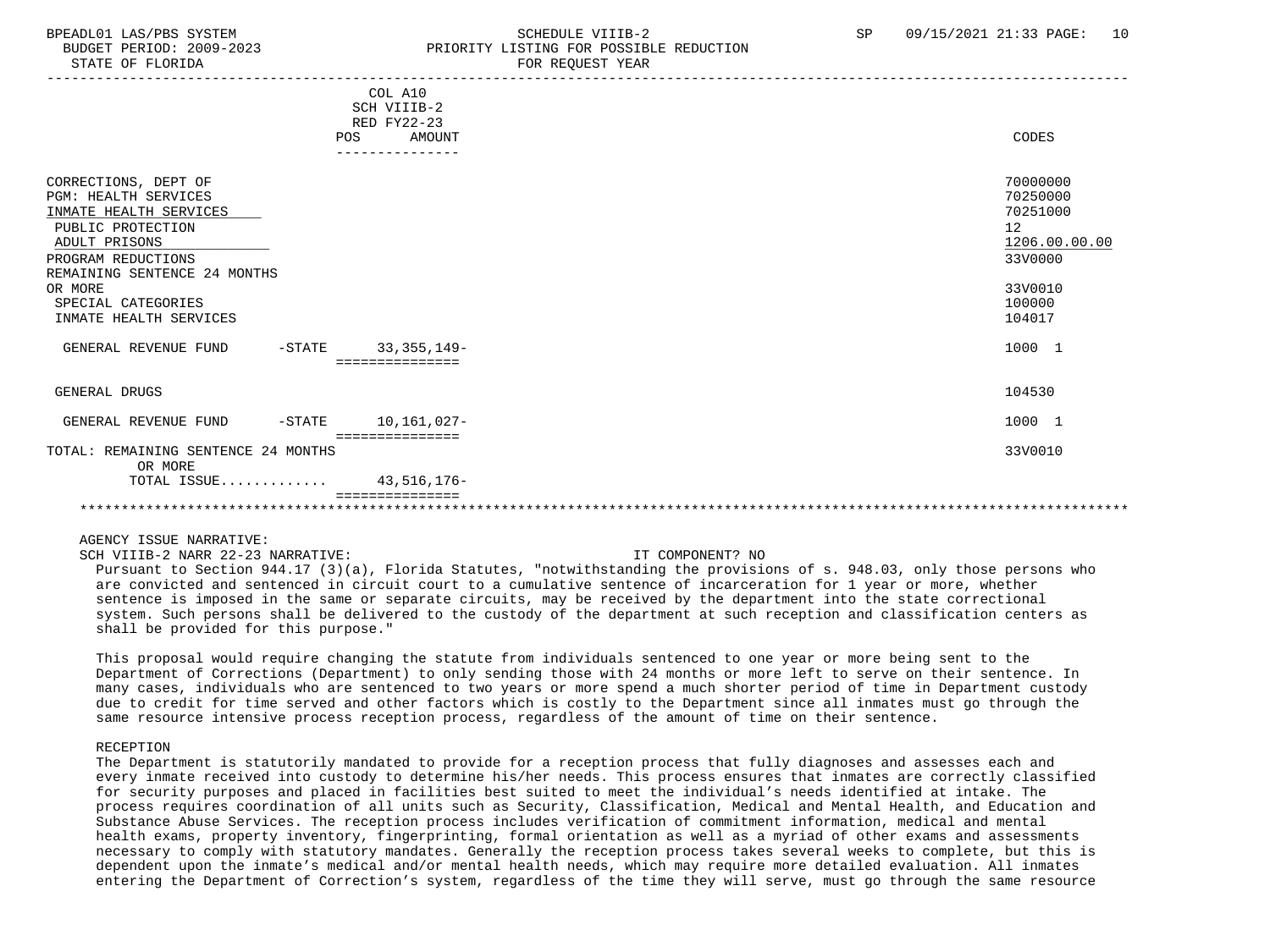STATE OF FLORIDA FOR REQUEST YEAR FOR REQUEST THAT A STATE OF STATE OF STATE OF STATE OF STATE OF STATE OF STATE OF STATE OF STATE OF STATE OF STATE OF STATE OF STATE OF STATE OF STATE OF STATE OF STATE OF STATE OF STATE O

# BPEADL01 LAS/PBS SYSTEM STRAND SCHEDULE VIIIB-2 SP 09/15/2021 21:33 PAGE: 10 BUDGET PERIOD: 2009-2023 PRIORITY LISTING FOR POSSIBLE REDUCTION

|                                                | COL A10<br>SCH VIIIB-2<br>RED FY22-23 |               |  |
|------------------------------------------------|---------------------------------------|---------------|--|
| POS                                            | AMOUNT                                | CODES         |  |
|                                                |                                       |               |  |
|                                                |                                       |               |  |
| CORRECTIONS, DEPT OF                           |                                       | 70000000      |  |
| <b>PGM: HEALTH SERVICES</b>                    |                                       | 70250000      |  |
| INMATE HEALTH SERVICES                         |                                       | 70251000      |  |
| PUBLIC PROTECTION                              |                                       | 12            |  |
| ADULT PRISONS                                  |                                       | 1206.00.00.00 |  |
| PROGRAM REDUCTIONS                             |                                       | 33V0000       |  |
| REMAINING SENTENCE 24 MONTHS                   |                                       |               |  |
| OR MORE                                        |                                       | 33V0010       |  |
| SPECIAL CATEGORIES                             |                                       | 100000        |  |
| INMATE HEALTH SERVICES                         |                                       | 104017        |  |
|                                                |                                       |               |  |
| GENERAL REVENUE FUND<br>$-$ STATE              | $33,355,149-$                         | 1000 1        |  |
|                                                | ----------------                      |               |  |
|                                                |                                       |               |  |
| GENERAL DRUGS                                  |                                       | 104530        |  |
|                                                |                                       |               |  |
| GENERAL REVENUE FUND<br>$-$ STATE              | 10,161,027-                           | 1000 1        |  |
|                                                | ===============                       |               |  |
| TOTAL: REMAINING SENTENCE 24 MONTHS<br>OR MORE |                                       | 33V0010       |  |
| TOTAL ISSUE 43,516,176-                        |                                       |               |  |
|                                                |                                       |               |  |
|                                                |                                       |               |  |

### AGENCY ISSUE NARRATIVE:

SCH VIIIB-2 NARR 22-23 NARRATIVE: IT COMPONENT? NO

 Pursuant to Section 944.17 (3)(a), Florida Statutes, "notwithstanding the provisions of s. 948.03, only those persons who are convicted and sentenced in circuit court to a cumulative sentence of incarceration for 1 year or more, whether sentence is imposed in the same or separate circuits, may be received by the department into the state correctional system. Such persons shall be delivered to the custody of the department at such reception and classification centers as shall be provided for this purpose."

 This proposal would require changing the statute from individuals sentenced to one year or more being sent to the Department of Corrections (Department) to only sending those with 24 months or more left to serve on their sentence. In many cases, individuals who are sentenced to two years or more spend a much shorter period of time in Department custody due to credit for time served and other factors which is costly to the Department since all inmates must go through the same resource intensive process reception process, regardless of the amount of time on their sentence.

### RECEPTION

 The Department is statutorily mandated to provide for a reception process that fully diagnoses and assesses each and every inmate received into custody to determine his/her needs. This process ensures that inmates are correctly classified for security purposes and placed in facilities best suited to meet the individual's needs identified at intake. The process requires coordination of all units such as Security, Classification, Medical and Mental Health, and Education and Substance Abuse Services. The reception process includes verification of commitment information, medical and mental health exams, property inventory, fingerprinting, formal orientation as well as a myriad of other exams and assessments necessary to comply with statutory mandates. Generally the reception process takes several weeks to complete, but this is dependent upon the inmate's medical and/or mental health needs, which may require more detailed evaluation. All inmates entering the Department of Correction's system, regardless of the time they will serve, must go through the same resource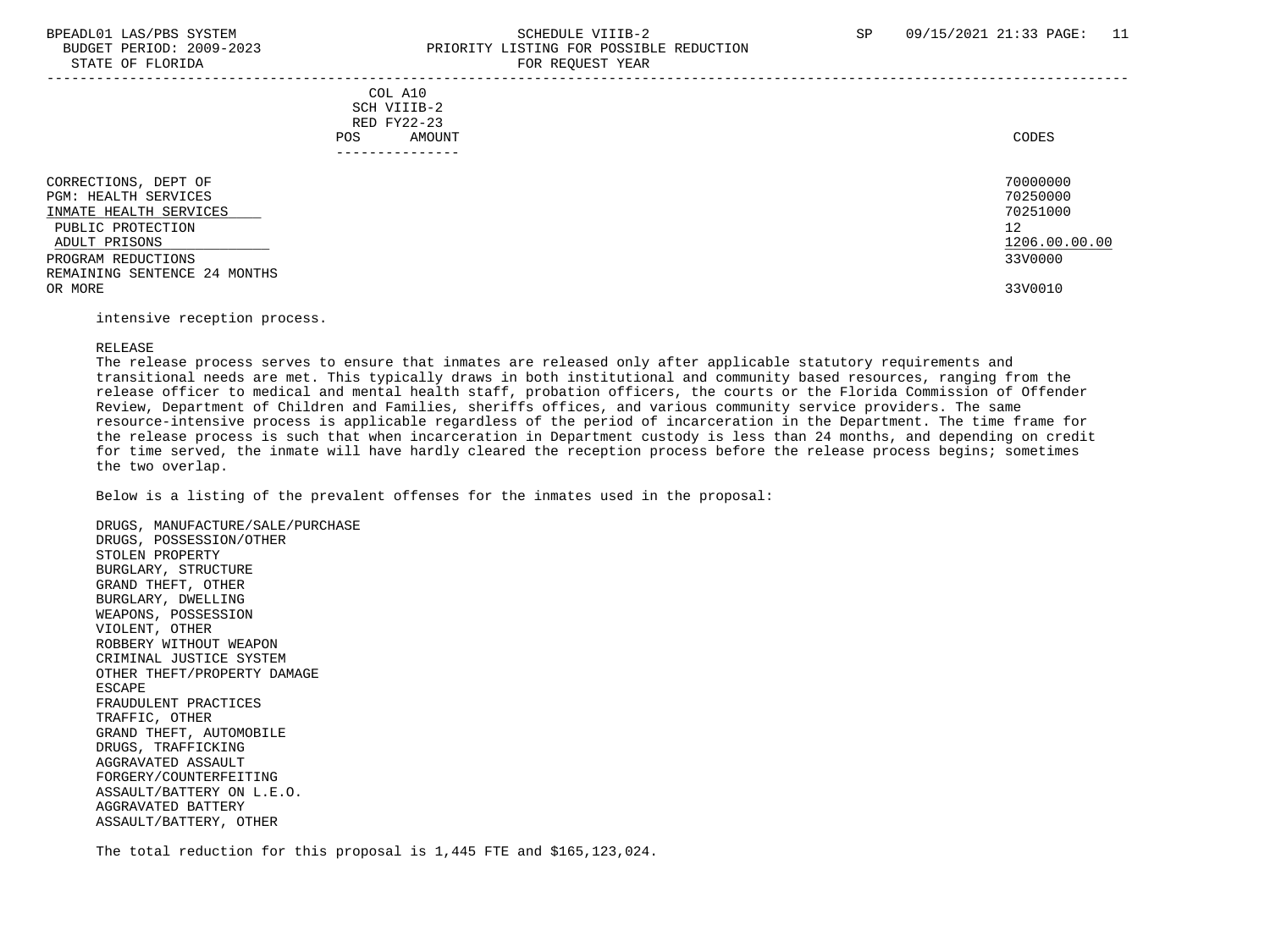# BPEADL01 LAS/PBS SYSTEM SALLE STRINGER STRINGER STRINGER SP (9/15/2021 21:33 PAGE: 11 BUDGET PERIOD: 2009-2023<br>
PRIORITY LISTING FOR POSSIBLE REDUCTION

| STATE OF FLORIDA                                                                                                                                                   | FOR REQUEST YEAR                                        |                                                                    |
|--------------------------------------------------------------------------------------------------------------------------------------------------------------------|---------------------------------------------------------|--------------------------------------------------------------------|
|                                                                                                                                                                    | COL A10<br>SCH VIIIB-2<br>RED FY22-23<br>POS.<br>AMOUNT | CODES                                                              |
| CORRECTIONS, DEPT OF<br>PGM: HEALTH SERVICES<br>INMATE HEALTH SERVICES<br>PUBLIC PROTECTION<br>ADULT PRISONS<br>PROGRAM REDUCTIONS<br>REMAINING SENTENCE 24 MONTHS |                                                         | 70000000<br>70250000<br>70251000<br>12<br>1206.00.00.00<br>33V0000 |
| OR MORE                                                                                                                                                            |                                                         | 33V0010                                                            |

intensive reception process.

### RELEASE

 The release process serves to ensure that inmates are released only after applicable statutory requirements and transitional needs are met. This typically draws in both institutional and community based resources, ranging from the release officer to medical and mental health staff, probation officers, the courts or the Florida Commission of Offender Review, Department of Children and Families, sheriffs offices, and various community service providers. The same resource-intensive process is applicable regardless of the period of incarceration in the Department. The time frame for the release process is such that when incarceration in Department custody is less than 24 months, and depending on credit for time served, the inmate will have hardly cleared the reception process before the release process begins; sometimes the two overlap.

Below is a listing of the prevalent offenses for the inmates used in the proposal:

 DRUGS, MANUFACTURE/SALE/PURCHASE DRUGS, POSSESSION/OTHER STOLEN PROPERTY BURGLARY, STRUCTURE GRAND THEFT, OTHER BURGLARY, DWELLING WEAPONS, POSSESSION VIOLENT, OTHER ROBBERY WITHOUT WEAPON CRIMINAL JUSTICE SYSTEM OTHER THEFT/PROPERTY DAMAGE ESCAPE FRAUDULENT PRACTICES TRAFFIC, OTHER GRAND THEFT, AUTOMOBILE DRUGS, TRAFFICKING AGGRAVATED ASSAULT FORGERY/COUNTERFEITING ASSAULT/BATTERY ON L.E.O. AGGRAVATED BATTERY ASSAULT/BATTERY, OTHER

The total reduction for this proposal is 1,445 FTE and \$165,123,024.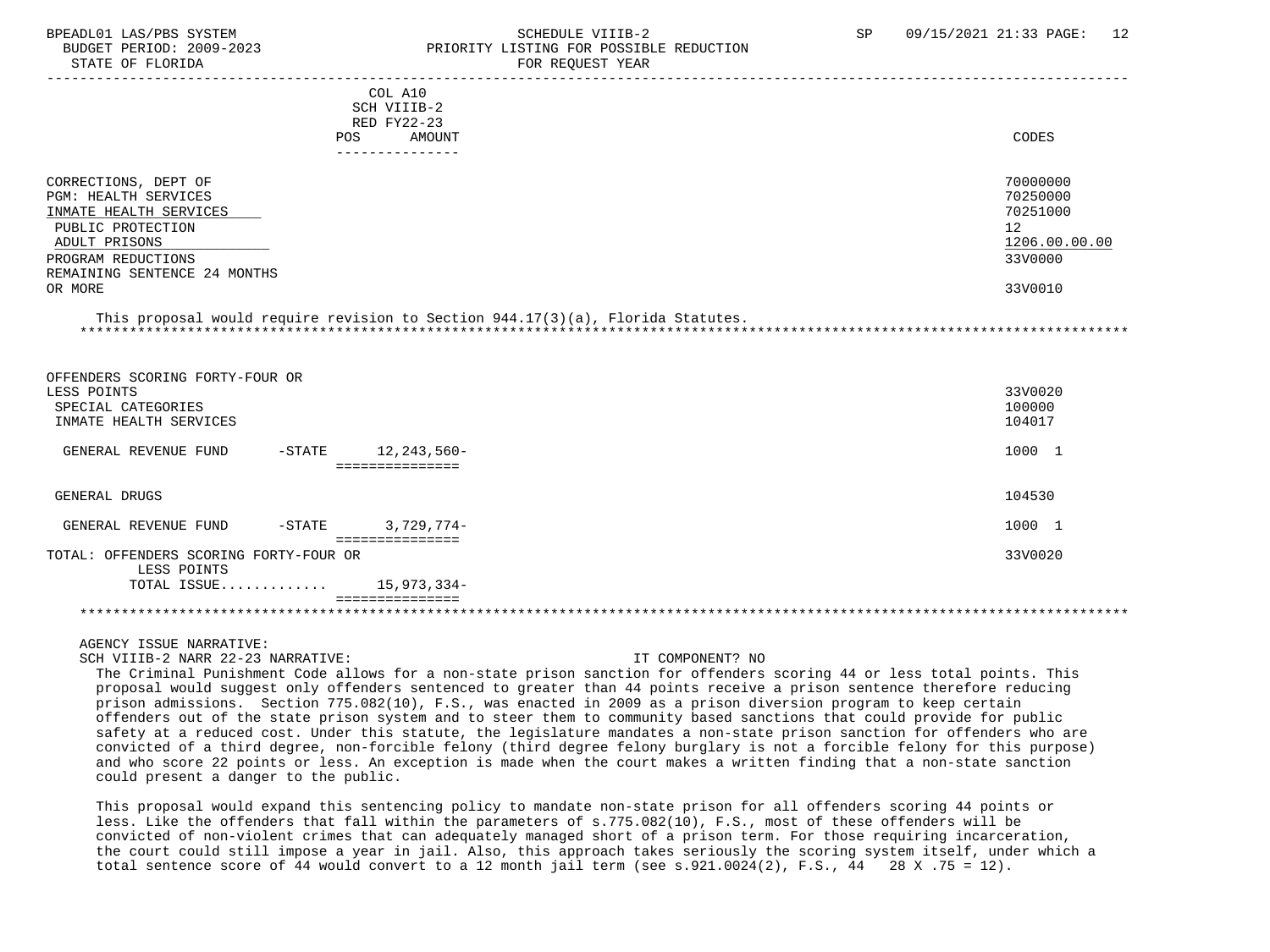STATE OF FLORIDA FOR STATE OF STATE OF STATE OF STATE OF STATE OF STATE OF STATE OF STATE OF STATE OF STATE OF STATE OF STATE OF STATE OF STATE OF STATE OF STATE OF STATE OF STATE OF STATE OF STATE OF STATE OF STATE OF STA

# BPEADL01 LAS/PBS SYSTEM SALL SALL SOMEDULE VIIIB-2 SP 09/15/2021 21:33 PAGE: 12 BUDGET PERIOD: 2009-2023 PRIORITY LISTING FOR POSSIBLE REDUCTION

| COL A10<br>SCH VIIIB-2<br>RED FY22-23<br>POS.                                                                                                                                 | AMOUNT<br>------------ | CODES                                                                         |
|-------------------------------------------------------------------------------------------------------------------------------------------------------------------------------|------------------------|-------------------------------------------------------------------------------|
| CORRECTIONS, DEPT OF<br>PGM: HEALTH SERVICES<br>INMATE HEALTH SERVICES<br>PUBLIC PROTECTION<br>ADULT PRISONS<br>PROGRAM REDUCTIONS<br>REMAINING SENTENCE 24 MONTHS<br>OR MORE |                        | 70000000<br>70250000<br>70251000<br>12<br>1206.00.00.00<br>33V0000<br>33V0010 |

 This proposal would require revision to Section 944.17(3)(a), Florida Statutes. \*\*\*\*\*\*\*\*\*\*\*\*\*\*\*\*\*\*\*\*\*\*\*\*\*\*\*\*\*\*\*\*\*\*\*\*\*\*\*\*\*\*\*\*\*\*\*\*\*\*\*\*\*\*\*\*\*\*\*\*\*\*\*\*\*\*\*\*\*\*\*\*\*\*\*\*\*\*\*\*\*\*\*\*\*\*\*\*\*\*\*\*\*\*\*\*\*\*\*\*\*\*\*\*\*\*\*\*\*\*\*\*\*\*\*\*\*\*\*\*\*\*\*\*\*\*\*

 OFFENDERS SCORING FORTY-FOUR OR LESS POINTS 33V0020 SPECIAL CATEGORIES 100000 PHOTOS SOFIE AND SERVICES AND SERVICES AND SERVICES AND SERVICES AND SERVICES AND SERVICES AND SERVICE SUPPORTED A SUBSERVICE SUPPORTED A SUBSERVICE SUPPORTED A SUBSERVICE SUPPORTED A SUBSERVICE S INMATE HEALTH SERVICES GENERAL REVENUE FUND -STATE 12,243,560-<br>
1000 1 =============== GENERAL DRUGS 104530 GENERAL REVENUE FUND -STATE 3,729,774- =============== TOTAL: OFFENDERS SCORING FORTY-FOUR OR 33V0020 LESS POINTS TOTAL ISSUE............. 15,973,334- =============== \*\*\*\*\*\*\*\*\*\*\*\*\*\*\*\*\*\*\*\*\*\*\*\*\*\*\*\*\*\*\*\*\*\*\*\*\*\*\*\*\*\*\*\*\*\*\*\*\*\*\*\*\*\*\*\*\*\*\*\*\*\*\*\*\*\*\*\*\*\*\*\*\*\*\*\*\*\*\*\*\*\*\*\*\*\*\*\*\*\*\*\*\*\*\*\*\*\*\*\*\*\*\*\*\*\*\*\*\*\*\*\*\*\*\*\*\*\*\*\*\*\*\*\*\*\*\*

AGENCY ISSUE NARRATIVE:

SCH VIIIB-2 NARR 22-23 NARRATIVE: IT COMPONENT? NO

 The Criminal Punishment Code allows for a non-state prison sanction for offenders scoring 44 or less total points. This proposal would suggest only offenders sentenced to greater than 44 points receive a prison sentence therefore reducing prison admissions. Section 775.082(10), F.S., was enacted in 2009 as a prison diversion program to keep certain offenders out of the state prison system and to steer them to community based sanctions that could provide for public safety at a reduced cost. Under this statute, the legislature mandates a non-state prison sanction for offenders who are convicted of a third degree, non-forcible felony (third degree felony burglary is not a forcible felony for this purpose) and who score 22 points or less. An exception is made when the court makes a written finding that a non-state sanction could present a danger to the public.

 This proposal would expand this sentencing policy to mandate non-state prison for all offenders scoring 44 points or less. Like the offenders that fall within the parameters of s.775.082(10), F.S., most of these offenders will be convicted of non-violent crimes that can adequately managed short of a prison term. For those requiring incarceration, the court could still impose a year in jail. Also, this approach takes seriously the scoring system itself, under which a total sentence score of 44 would convert to a 12 month jail term (see  $s.921.0024(2)$ , F.S., 44 28 X .75 = 12).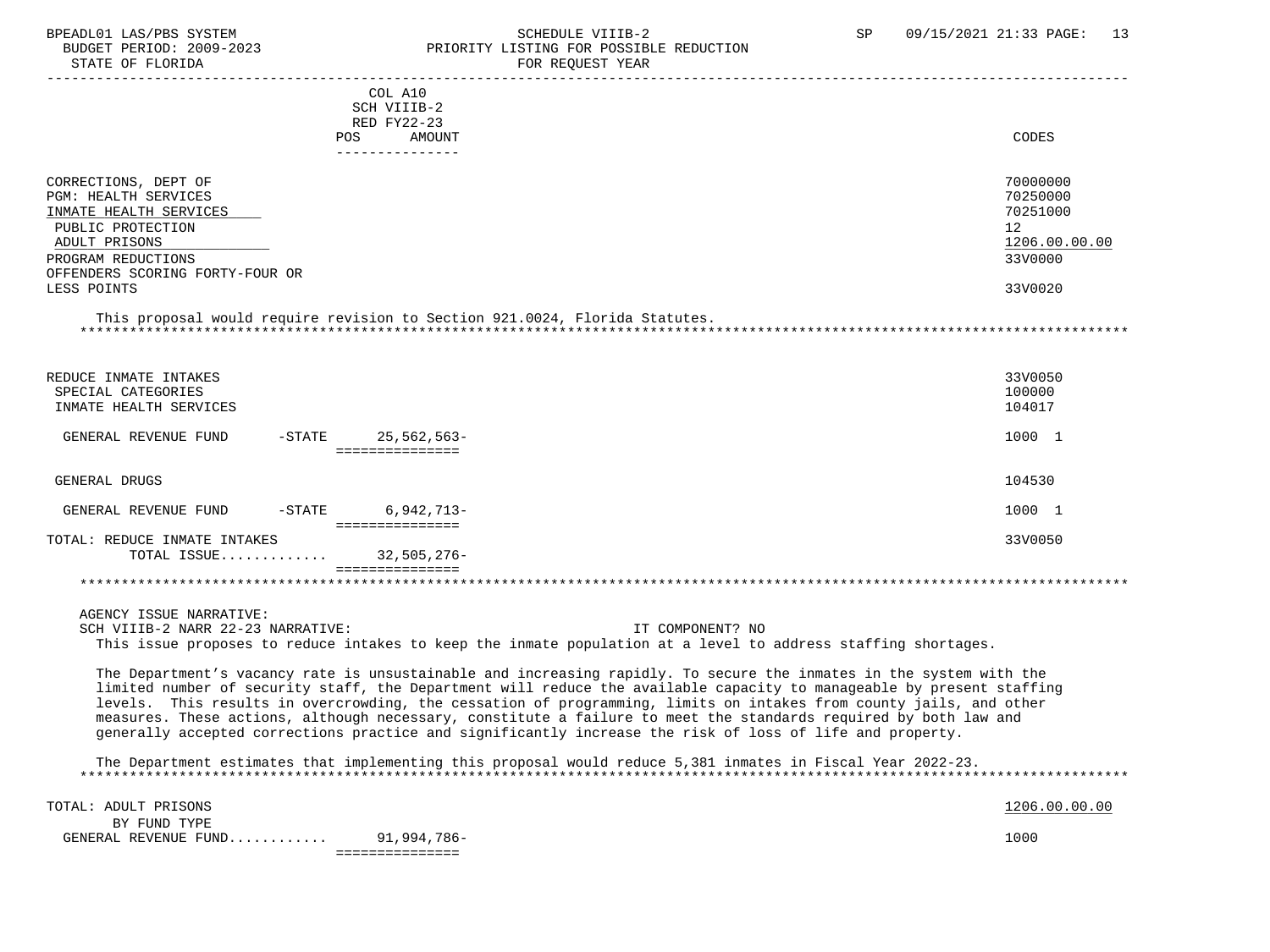# BPEADL01 LAS/PBS SYSTEM SCHEDULE VIIIB-2 SCHEDULE VIIIB-2 SP 09/15/2021 21:33 PAGE: 13 BUDGET PERIOD: 2009-2023<br>
STATE OF FLORIDA<br>
FOR REOUEST YEAR FOR REQUEST YEAR

|                                                                                                                                                                                             | COL A10<br>SCH VIIIB-2<br>RED FY22-23<br>AMOUNT<br>POS.<br>------------ | CODES                                                                         |
|---------------------------------------------------------------------------------------------------------------------------------------------------------------------------------------------|-------------------------------------------------------------------------|-------------------------------------------------------------------------------|
| CORRECTIONS, DEPT OF<br><b>PGM: HEALTH SERVICES</b><br>INMATE HEALTH SERVICES<br>PUBLIC PROTECTION<br>ADULT PRISONS<br>PROGRAM REDUCTIONS<br>OFFENDERS SCORING FORTY-FOUR OR<br>LESS POINTS |                                                                         | 70000000<br>70250000<br>70251000<br>12<br>1206.00.00.00<br>33V0000<br>33V0020 |

 This proposal would require revision to Section 921.0024, Florida Statutes. \*\*\*\*\*\*\*\*\*\*\*\*\*\*\*\*\*\*\*\*\*\*\*\*\*\*\*\*\*\*\*\*\*\*\*\*\*\*\*\*\*\*\*\*\*\*\*\*\*\*\*\*\*\*\*\*\*\*\*\*\*\*\*\*\*\*\*\*\*\*\*\*\*\*\*\*\*\*\*\*\*\*\*\*\*\*\*\*\*\*\*\*\*\*\*\*\*\*\*\*\*\*\*\*\*\*\*\*\*\*\*\*\*\*\*\*\*\*\*\*\*\*\*\*\*\*\*

| REDUCE INMATE INTAKES<br>SPECIAL CATEGORIES<br>INMATE HEALTH SERVICES |                 | 33V0050<br>100000<br>104017 |
|-----------------------------------------------------------------------|-----------------|-----------------------------|
| $-$ STATE<br>GENERAL REVENUE FUND                                     | 25,562,563-     | 1000 1                      |
|                                                                       |                 |                             |
| GENERAL DRUGS                                                         |                 | 104530                      |
| $-$ STATE<br>GENERAL REVENUE FUND                                     | $6,942,713-$    | 1000 1                      |
|                                                                       |                 |                             |
| TOTAL: REDUCE INMATE INTAKES<br>TOTAL ISSUE                           | 32,505,276-     | 33V0050                     |
|                                                                       | =============== |                             |
|                                                                       |                 |                             |

 AGENCY ISSUE NARRATIVE: SCH VIIIB-2 NARR 22-23 NARRATIVE: IT COMPONENT? NO This issue proposes to reduce intakes to keep the inmate population at a level to address staffing shortages.

 The Department's vacancy rate is unsustainable and increasing rapidly. To secure the inmates in the system with the limited number of security staff, the Department will reduce the available capacity to manageable by present staffing levels. This results in overcrowding, the cessation of programming, limits on intakes from county jails, and other measures. These actions, although necessary, constitute a failure to meet the standards required by both law and generally accepted corrections practice and significantly increase the risk of loss of life and property.

 The Department estimates that implementing this proposal would reduce 5,381 inmates in Fiscal Year 2022-23. \*\*\*\*\*\*\*\*\*\*\*\*\*\*\*\*\*\*\*\*\*\*\*\*\*\*\*\*\*\*\*\*\*\*\*\*\*\*\*\*\*\*\*\*\*\*\*\*\*\*\*\*\*\*\*\*\*\*\*\*\*\*\*\*\*\*\*\*\*\*\*\*\*\*\*\*\*\*\*\*\*\*\*\*\*\*\*\*\*\*\*\*\*\*\*\*\*\*\*\*\*\*\*\*\*\*\*\*\*\*\*\*\*\*\*\*\*\*\*\*\*\*\*\*\*\*\*

TOTAL: ADULT PRISONS 1206.00.00 PRISONS BY FUND TYPE GENERAL REVENUE FUND............. 91,994,786-===============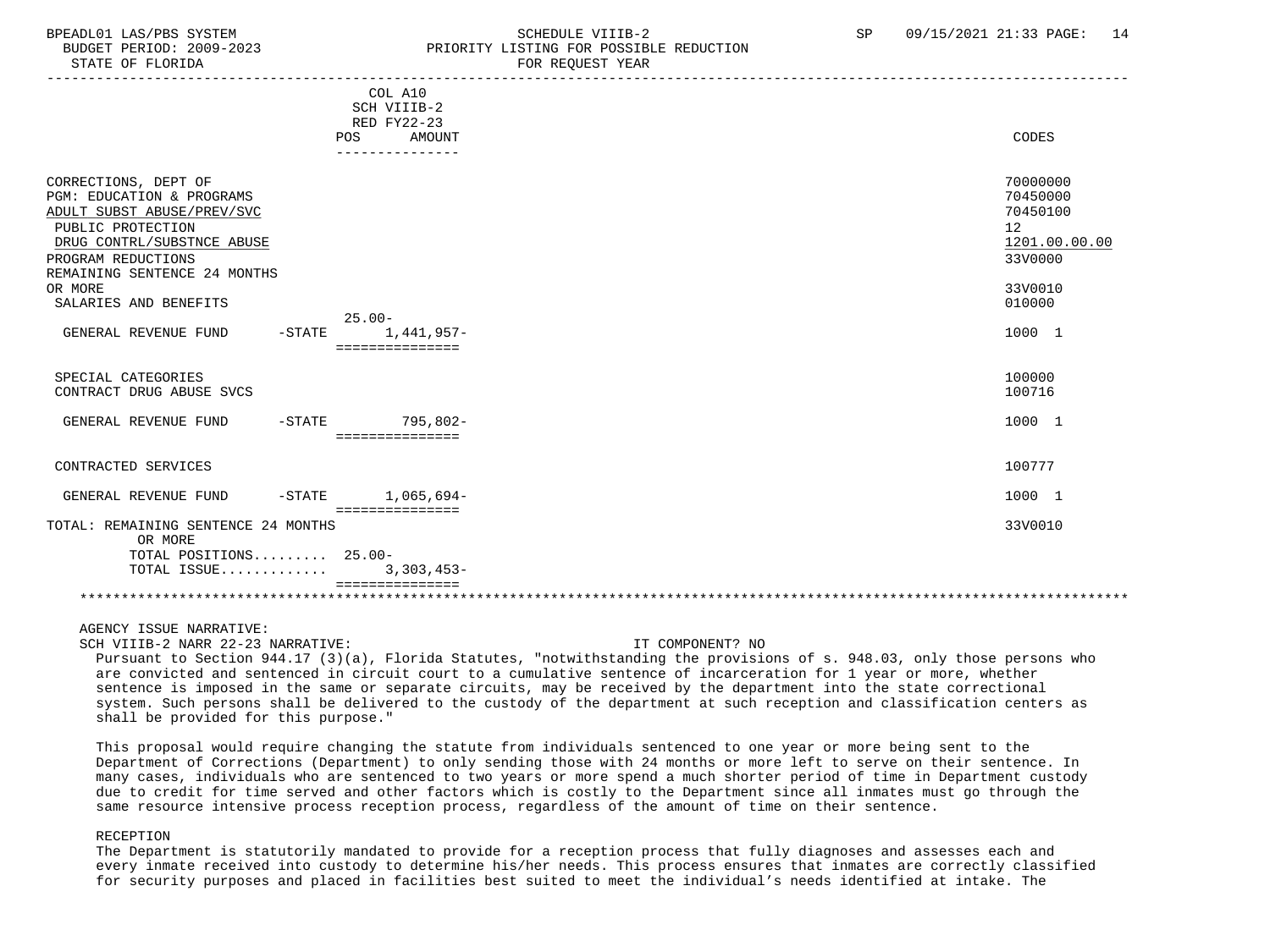STATE OF FLORIDA FOR REQUEST YEAR FOR REQUEST YEAR

# BPEADL01 LAS/PBS SYSTEM SALLE STRINGER STRINGER STRINGER STRINGER SP (99/15/2021 21:33 PAGE: 14 BUDGET PERIOD: 2009-2023 PRIORITY LISTING FOR POSSIBLE REDUCTION

|                                     | COL A10<br>SCH VIIIB-2 |                 |
|-------------------------------------|------------------------|-----------------|
|                                     | RED FY22-23            |                 |
|                                     | AMOUNT<br>POS          | CODES           |
|                                     | ---------------        |                 |
|                                     |                        |                 |
|                                     |                        |                 |
| CORRECTIONS, DEPT OF                |                        | 70000000        |
| PGM: EDUCATION & PROGRAMS           |                        | 70450000        |
| ADULT SUBST ABUSE/PREV/SVC          |                        | 70450100        |
| PUBLIC PROTECTION                   |                        | 12 <sup>°</sup> |
| DRUG CONTRL/SUBSTNCE ABUSE          |                        | 1201.00.00.00   |
| PROGRAM REDUCTIONS                  |                        | 33V0000         |
|                                     |                        |                 |
| REMAINING SENTENCE 24 MONTHS        |                        |                 |
| OR MORE                             |                        | 33V0010         |
| SALARIES AND BENEFITS               |                        | 010000          |
|                                     | $25.00 -$              |                 |
| GENERAL REVENUE FUND<br>$-$ STATE   | 1,441,957-             | 1000 1          |
|                                     | ===============        |                 |
|                                     |                        |                 |
| SPECIAL CATEGORIES                  |                        | 100000          |
| CONTRACT DRUG ABUSE SVCS            |                        | 100716          |
|                                     |                        |                 |
|                                     |                        |                 |
| GENERAL REVENUE FUND                | -STATE 795,802-        | 1000 1          |
|                                     | ===============        |                 |
|                                     |                        |                 |
| CONTRACTED SERVICES                 |                        | 100777          |
|                                     |                        |                 |
| GENERAL REVENUE FUND<br>$-$ STATE   | 1,065,694-             | 1000 1          |
|                                     | ===============        |                 |
| TOTAL: REMAINING SENTENCE 24 MONTHS |                        | 33V0010         |
| OR MORE                             |                        |                 |
| TOTAL POSITIONS 25.00-              |                        |                 |
| TOTAL ISSUE                         | $3,303,453-$           |                 |
|                                     | ===============        |                 |
|                                     |                        |                 |

AGENCY ISSUE NARRATIVE:

SCH VIIIB-2 NARR 22-23 NARRATIVE: IT COMPONENT? NO

 Pursuant to Section 944.17 (3)(a), Florida Statutes, "notwithstanding the provisions of s. 948.03, only those persons who are convicted and sentenced in circuit court to a cumulative sentence of incarceration for 1 year or more, whether sentence is imposed in the same or separate circuits, may be received by the department into the state correctional system. Such persons shall be delivered to the custody of the department at such reception and classification centers as shall be provided for this purpose."

 This proposal would require changing the statute from individuals sentenced to one year or more being sent to the Department of Corrections (Department) to only sending those with 24 months or more left to serve on their sentence. In many cases, individuals who are sentenced to two years or more spend a much shorter period of time in Department custody due to credit for time served and other factors which is costly to the Department since all inmates must go through the same resource intensive process reception process, regardless of the amount of time on their sentence.

### RECEPTION

 The Department is statutorily mandated to provide for a reception process that fully diagnoses and assesses each and every inmate received into custody to determine his/her needs. This process ensures that inmates are correctly classified for security purposes and placed in facilities best suited to meet the individual's needs identified at intake. The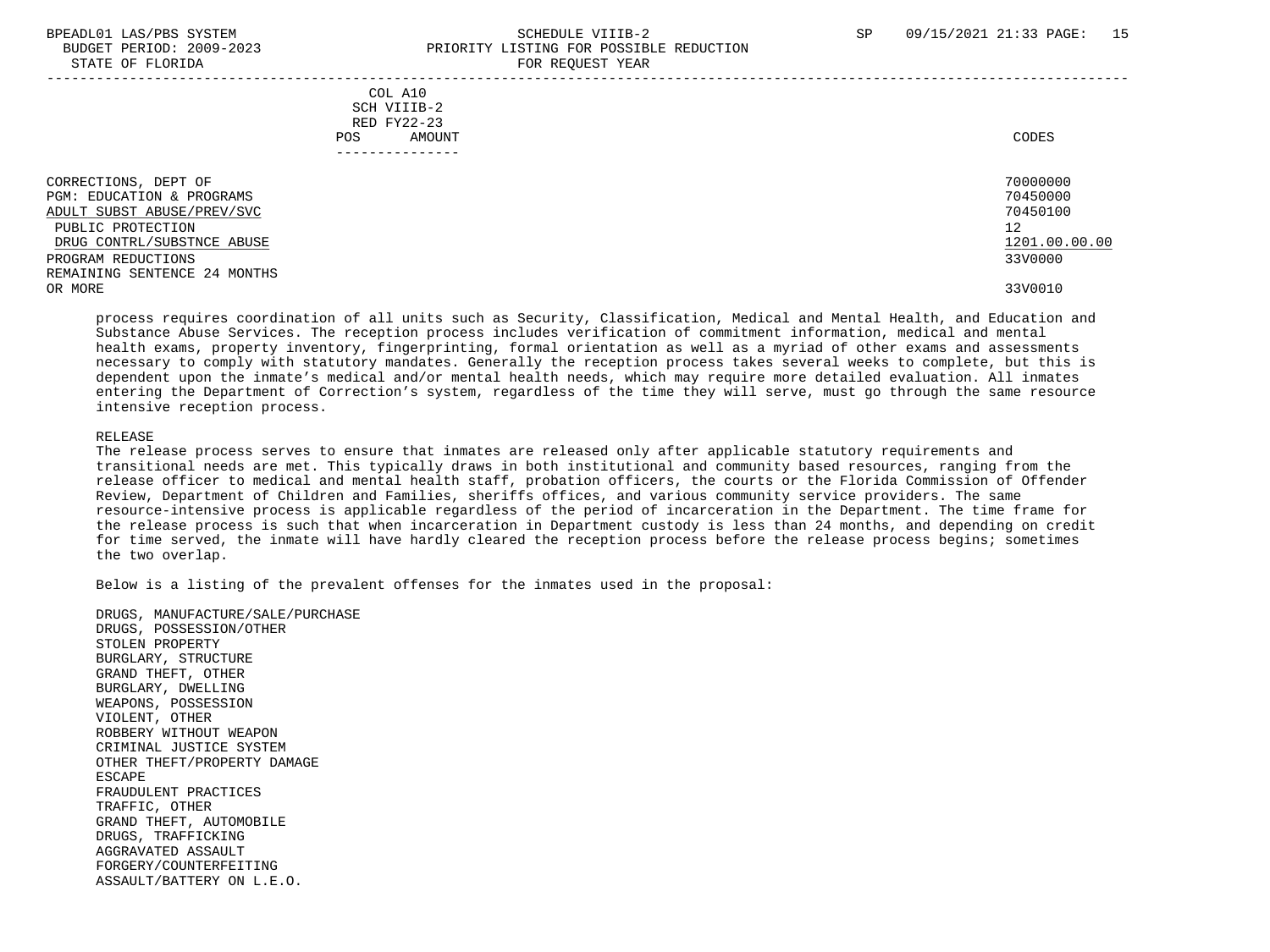## BPEADL01 LAS/PBS SYSTEM STRAND SCHEDULE VIIIB-2 SP 09/15/2021 21:33 PAGE: 15 BUDGET PERIOD: 2009-2023 PRIORITY LISTING FOR POSSIBLE REDUCTION STATE OF FLORIDA FOR REQUEST YEAR

| COL A10<br>SCH VIIIB-2<br>RED FY22-23<br>AMOUNT<br>POS | CODES         |
|--------------------------------------------------------|---------------|
| CORRECTIONS, DEPT OF                                   | 70000000      |
| <b>PGM: EDUCATION &amp; PROGRAMS</b>                   | 70450000      |
| ADULT SUBST ABUSE/PREV/SVC                             | 70450100      |
| PUBLIC PROTECTION                                      | 12            |
| DRUG CONTRL/SUBSTNCE ABUSE                             | 1201.00.00.00 |
| PROGRAM REDUCTIONS                                     | 33V0000       |
| REMAINING SENTENCE 24 MONTHS                           |               |
| OR MORE                                                | 33V0010       |

 process requires coordination of all units such as Security, Classification, Medical and Mental Health, and Education and Substance Abuse Services. The reception process includes verification of commitment information, medical and mental health exams, property inventory, fingerprinting, formal orientation as well as a myriad of other exams and assessments necessary to comply with statutory mandates. Generally the reception process takes several weeks to complete, but this is dependent upon the inmate's medical and/or mental health needs, which may require more detailed evaluation. All inmates entering the Department of Correction's system, regardless of the time they will serve, must go through the same resource intensive reception process.

### RELEASE

 The release process serves to ensure that inmates are released only after applicable statutory requirements and transitional needs are met. This typically draws in both institutional and community based resources, ranging from the release officer to medical and mental health staff, probation officers, the courts or the Florida Commission of Offender Review, Department of Children and Families, sheriffs offices, and various community service providers. The same resource-intensive process is applicable regardless of the period of incarceration in the Department. The time frame for the release process is such that when incarceration in Department custody is less than 24 months, and depending on credit for time served, the inmate will have hardly cleared the reception process before the release process begins; sometimes the two overlap.

Below is a listing of the prevalent offenses for the inmates used in the proposal:

 DRUGS, MANUFACTURE/SALE/PURCHASE DRUGS, POSSESSION/OTHER STOLEN PROPERTY BURGLARY, STRUCTURE GRAND THEFT, OTHER BURGLARY, DWELLING WEAPONS, POSSESSION VIOLENT, OTHER ROBBERY WITHOUT WEAPON CRIMINAL JUSTICE SYSTEM OTHER THEFT/PROPERTY DAMAGE ESCAPE FRAUDULENT PRACTICES TRAFFIC, OTHER GRAND THEFT, AUTOMOBILE DRUGS, TRAFFICKING AGGRAVATED ASSAULT FORGERY/COUNTERFEITING ASSAULT/BATTERY ON L.E.O.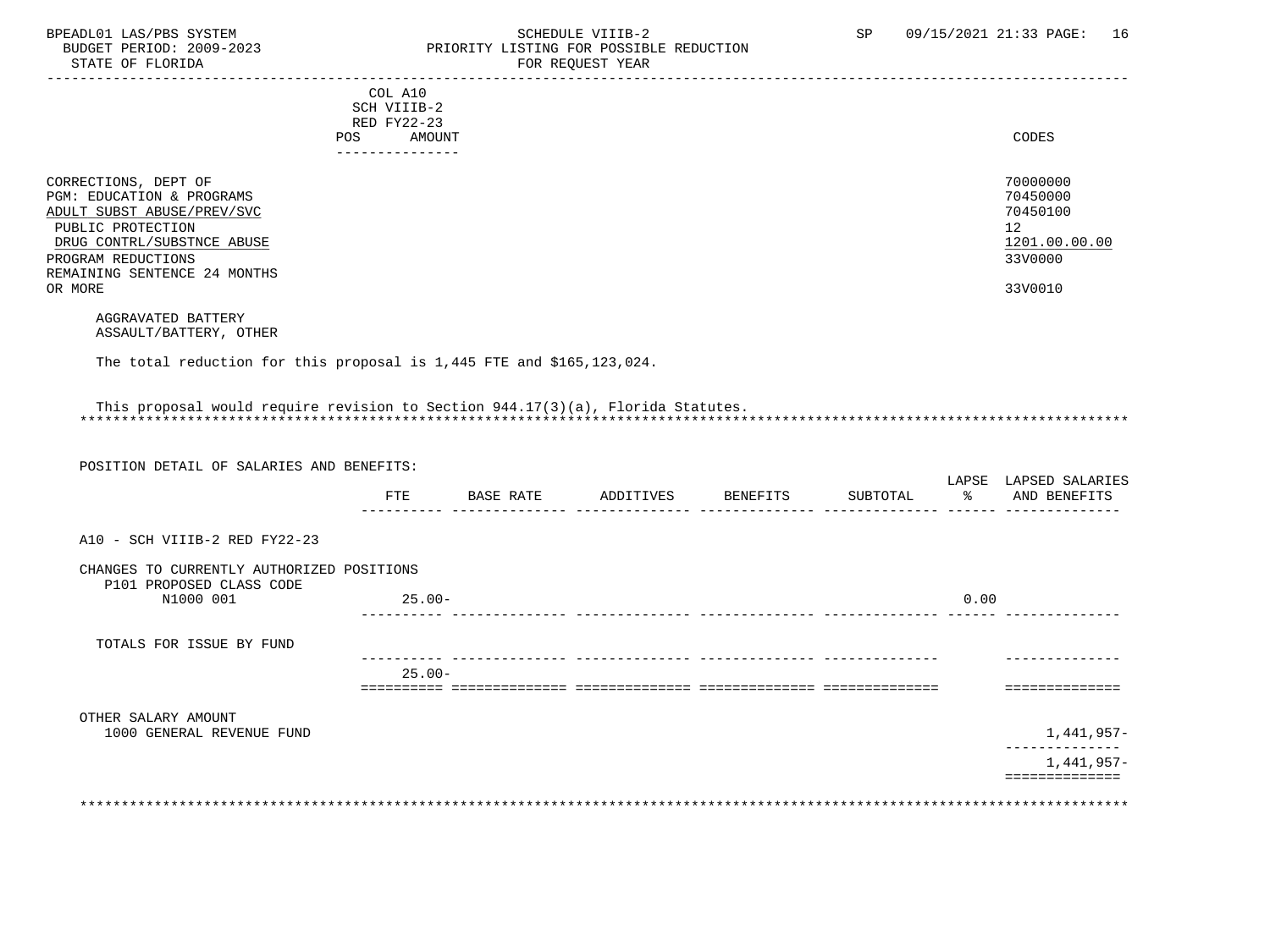STATE OF FLORIDA

# BPEADL01 LAS/PBS SYSTEM SALLE STREDULE VIIIB-2 SCHEDULE VIIIB-2 SP 09/15/2021 21:33 PAGE: 16 PRIORITY LISTING FOR POSSIBLE REDUCTION<br>FOR REQUEST YEAR

|                                                                                 | COL A10                    |               |                    |          |       |                                       |
|---------------------------------------------------------------------------------|----------------------------|---------------|--------------------|----------|-------|---------------------------------------|
|                                                                                 | SCH VIIIB-2<br>RED FY22-23 |               |                    |          |       |                                       |
|                                                                                 | AMOUNT<br>POS              |               |                    |          |       | CODES                                 |
|                                                                                 | ---------------            |               |                    |          |       |                                       |
|                                                                                 |                            |               |                    |          |       | 70000000                              |
| CORRECTIONS, DEPT OF<br>PGM: EDUCATION & PROGRAMS                               |                            |               |                    |          |       | 70450000                              |
| ADULT SUBST ABUSE/PREV/SVC                                                      |                            |               |                    |          |       | 70450100                              |
| PUBLIC PROTECTION                                                               |                            |               |                    |          |       | 12 <sup>°</sup>                       |
| DRUG CONTRL/SUBSTNCE ABUSE                                                      |                            |               |                    |          |       | 1201.00.00.00                         |
| PROGRAM REDUCTIONS                                                              |                            |               |                    |          |       | 33V0000                               |
| REMAINING SENTENCE 24 MONTHS                                                    |                            |               |                    |          |       |                                       |
| OR MORE                                                                         |                            |               |                    |          |       | 33V0010                               |
| AGGRAVATED BATTERY                                                              |                            |               |                    |          |       |                                       |
| ASSAULT/BATTERY, OTHER                                                          |                            |               |                    |          |       |                                       |
| The total reduction for this proposal is 1,445 FTE and \$165,123,024.           |                            |               |                    |          |       |                                       |
|                                                                                 |                            |               |                    |          |       |                                       |
|                                                                                 |                            |               |                    |          |       |                                       |
| This proposal would require revision to Section 944.17(3)(a), Florida Statutes. |                            |               |                    |          |       |                                       |
|                                                                                 |                            |               |                    |          |       |                                       |
|                                                                                 |                            |               |                    |          |       |                                       |
| POSITION DETAIL OF SALARIES AND BENEFITS:                                       |                            |               |                    |          |       |                                       |
|                                                                                 |                            | FTE BASE RATE | ADDITIVES BENEFITS | SUBTOTAL | နွေ တ | LAPSE LAPSED SALARIES<br>AND BENEFITS |
|                                                                                 |                            |               |                    |          |       |                                       |
| A10 - SCH VIIIB-2 RED FY22-23                                                   |                            |               |                    |          |       |                                       |
|                                                                                 |                            |               |                    |          |       |                                       |
| CHANGES TO CURRENTLY AUTHORIZED POSITIONS<br>P101 PROPOSED CLASS CODE           |                            |               |                    |          |       |                                       |
| N1000 001                                                                       | $25.00 -$                  |               |                    |          | 0.00  |                                       |
|                                                                                 |                            |               |                    |          |       |                                       |
| TOTALS FOR ISSUE BY FUND                                                        |                            |               |                    |          |       |                                       |
|                                                                                 |                            |               |                    |          |       |                                       |
|                                                                                 | $25.00 -$                  |               |                    |          |       |                                       |
|                                                                                 |                            |               |                    |          |       | ==============                        |
| OTHER SALARY AMOUNT                                                             |                            |               |                    |          |       |                                       |
| 1000 GENERAL REVENUE FUND                                                       |                            |               |                    |          |       | 1,441,957–                            |
|                                                                                 |                            |               |                    |          |       | ---------------                       |
|                                                                                 |                            |               |                    |          |       | 1,441,957–                            |
|                                                                                 |                            |               |                    |          |       | ==============                        |

\*\*\*\*\*\*\*\*\*\*\*\*\*\*\*\*\*\*\*\*\*\*\*\*\*\*\*\*\*\*\*\*\*\*\*\*\*\*\*\*\*\*\*\*\*\*\*\*\*\*\*\*\*\*\*\*\*\*\*\*\*\*\*\*\*\*\*\*\*\*\*\*\*\*\*\*\*\*\*\*\*\*\*\*\*\*\*\*\*\*\*\*\*\*\*\*\*\*\*\*\*\*\*\*\*\*\*\*\*\*\*\*\*\*\*\*\*\*\*\*\*\*\*\*\*\*\*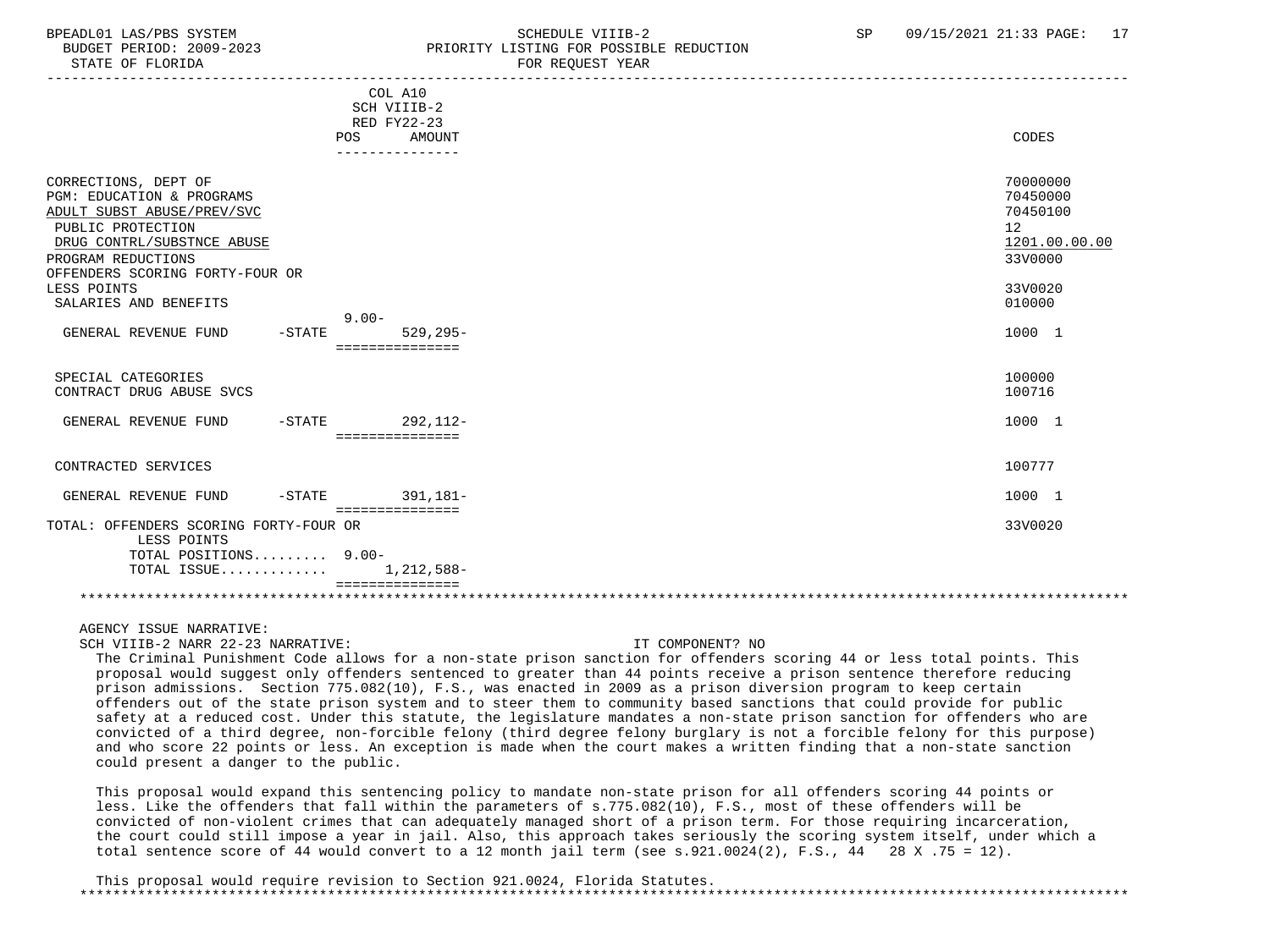# BPEADL01 LAS/PBS SYSTEM SALLE STRINGER STRINGER STRINGER STRINGER SP (99/15/2021 21:33 PAGE: 17 BUDGET PERIOD: 2009-2023 PRIORITY LISTING FOR POSSIBLE REDUCTION

|                                                                                                      | COL A10<br>SCH VIIIB-2<br>RED FY22-23<br>POS<br>AMOUNT | CODES                                               |
|------------------------------------------------------------------------------------------------------|--------------------------------------------------------|-----------------------------------------------------|
|                                                                                                      |                                                        |                                                     |
|                                                                                                      |                                                        |                                                     |
| CORRECTIONS, DEPT OF<br>PGM: EDUCATION & PROGRAMS<br>ADULT SUBST ABUSE/PREV/SVC<br>PUBLIC PROTECTION |                                                        | 70000000<br>70450000<br>70450100<br>12 <sup>°</sup> |
| DRUG CONTRL/SUBSTNCE ABUSE                                                                           |                                                        | 1201.00.00.00                                       |
| PROGRAM REDUCTIONS                                                                                   |                                                        | 33V0000                                             |
| OFFENDERS SCORING FORTY-FOUR OR                                                                      |                                                        |                                                     |
| LESS POINTS                                                                                          |                                                        | 33V0020                                             |
| SALARIES AND BENEFITS                                                                                |                                                        | 010000                                              |
|                                                                                                      | $9.00 -$                                               |                                                     |
| GENERAL REVENUE FUND<br>$-$ STATE                                                                    | $529.295 -$                                            | 1000 1                                              |
|                                                                                                      | ===============                                        |                                                     |
|                                                                                                      |                                                        |                                                     |
| SPECIAL CATEGORIES                                                                                   |                                                        | 100000                                              |
| CONTRACT DRUG ABUSE SVCS                                                                             |                                                        | 100716                                              |
|                                                                                                      |                                                        |                                                     |
| GENERAL REVENUE FUND                                                                                 | -STATE 292.112-                                        | 1000 1                                              |
|                                                                                                      | ===============                                        |                                                     |
|                                                                                                      |                                                        |                                                     |
| CONTRACTED SERVICES                                                                                  |                                                        | 100777                                              |
|                                                                                                      |                                                        |                                                     |
| GENERAL REVENUE FUND<br>$-$ STATE                                                                    | 391,181-<br>===============                            | 1000 1                                              |
| TOTAL: OFFENDERS SCORING FORTY-FOUR OR                                                               |                                                        | 33V0020                                             |
| LESS POINTS                                                                                          |                                                        |                                                     |
| TOTAL POSITIONS 9.00-                                                                                |                                                        |                                                     |
| TOTAL ISSUE                                                                                          | 1,212,588-                                             |                                                     |
|                                                                                                      |                                                        |                                                     |
|                                                                                                      |                                                        |                                                     |

AGENCY ISSUE NARRATIVE:

SCH VIIIB-2 NARR 22-23 NARRATIVE: IT COMPONENT? NO

 The Criminal Punishment Code allows for a non-state prison sanction for offenders scoring 44 or less total points. This proposal would suggest only offenders sentenced to greater than 44 points receive a prison sentence therefore reducing prison admissions. Section 775.082(10), F.S., was enacted in 2009 as a prison diversion program to keep certain offenders out of the state prison system and to steer them to community based sanctions that could provide for public safety at a reduced cost. Under this statute, the legislature mandates a non-state prison sanction for offenders who are convicted of a third degree, non-forcible felony (third degree felony burglary is not a forcible felony for this purpose) and who score 22 points or less. An exception is made when the court makes a written finding that a non-state sanction could present a danger to the public.

 This proposal would expand this sentencing policy to mandate non-state prison for all offenders scoring 44 points or less. Like the offenders that fall within the parameters of s.775.082(10), F.S., most of these offenders will be convicted of non-violent crimes that can adequately managed short of a prison term. For those requiring incarceration, the court could still impose a year in jail. Also, this approach takes seriously the scoring system itself, under which a total sentence score of 44 would convert to a 12 month jail term (see s.921.0024(2), F.S., 44 28 X .75 = 12).

 This proposal would require revision to Section 921.0024, Florida Statutes. \*\*\*\*\*\*\*\*\*\*\*\*\*\*\*\*\*\*\*\*\*\*\*\*\*\*\*\*\*\*\*\*\*\*\*\*\*\*\*\*\*\*\*\*\*\*\*\*\*\*\*\*\*\*\*\*\*\*\*\*\*\*\*\*\*\*\*\*\*\*\*\*\*\*\*\*\*\*\*\*\*\*\*\*\*\*\*\*\*\*\*\*\*\*\*\*\*\*\*\*\*\*\*\*\*\*\*\*\*\*\*\*\*\*\*\*\*\*\*\*\*\*\*\*\*\*\*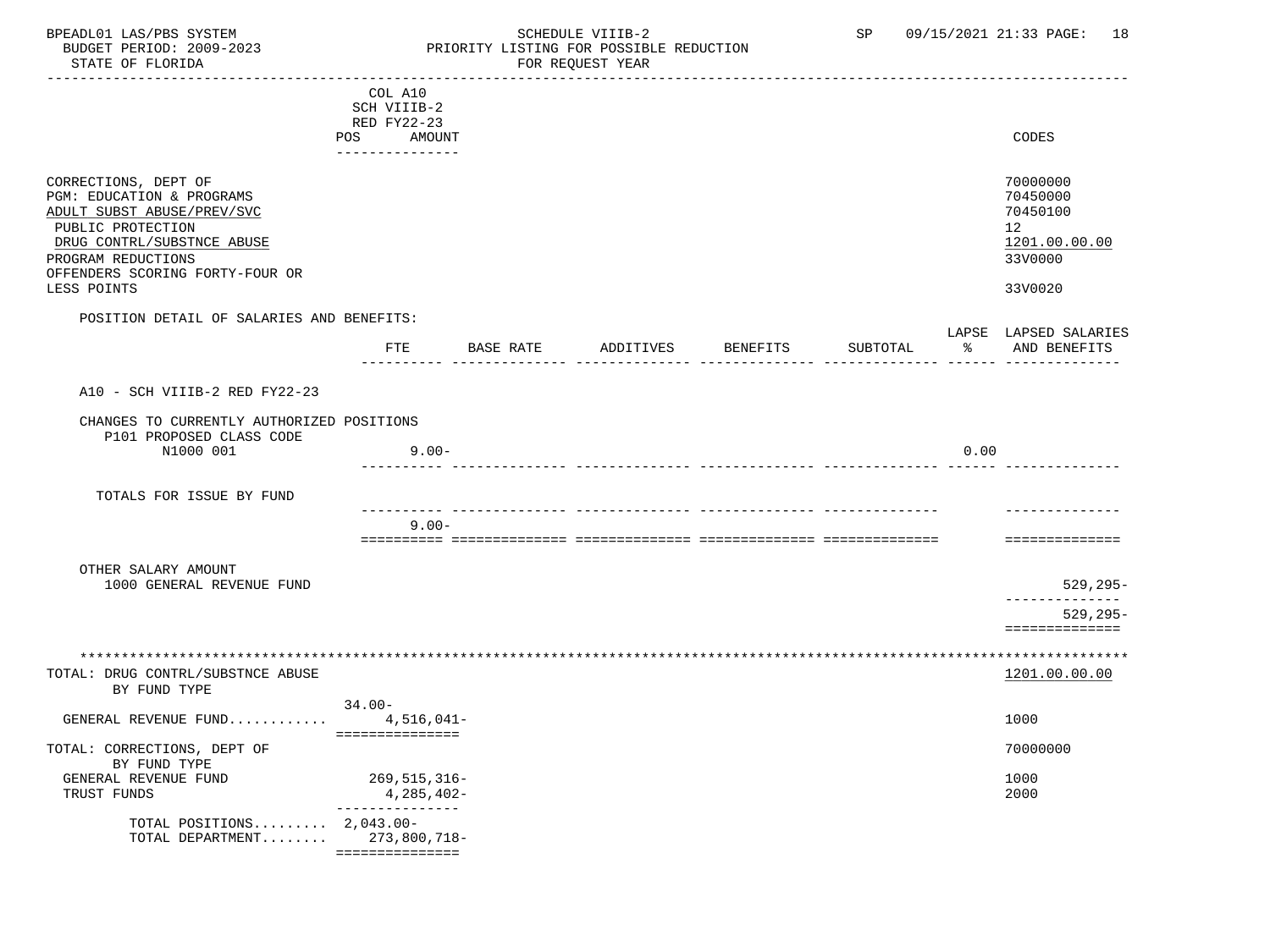BPEADL01 LAS/PBS SYSTEM STRING THE SCHEDULE VIIIB-2 SP 09/15/2021 21:33 PAGE: 18<br>BUDGET PERIOD: 2009-2023 PRIORITY LISTING FOR POSSIBLE REDUCTION BUDGET PERIOD: 2009-2023 PRIORITY LISTING FOR POSSIBLE REDUCTION

# FOR REQUEST YEAR

|                                                                                                                                    | COL A10              |           |           |                 |          |      |                                                                      |
|------------------------------------------------------------------------------------------------------------------------------------|----------------------|-----------|-----------|-----------------|----------|------|----------------------------------------------------------------------|
|                                                                                                                                    | SCH VIIIB-2          |           |           |                 |          |      |                                                                      |
|                                                                                                                                    | RED FY22-23          |           |           |                 |          |      |                                                                      |
|                                                                                                                                    | POS<br>AMOUNT        |           |           |                 |          |      | CODES                                                                |
|                                                                                                                                    | ----------------     |           |           |                 |          |      |                                                                      |
| CORRECTIONS, DEPT OF<br>PGM: EDUCATION & PROGRAMS<br>ADULT SUBST ABUSE/PREV/SVC<br>PUBLIC PROTECTION<br>DRUG CONTRL/SUBSTNCE ABUSE |                      |           |           |                 |          |      | 70000000<br>70450000<br>70450100<br>12 <sub>2</sub><br>1201.00.00.00 |
| PROGRAM REDUCTIONS                                                                                                                 |                      |           |           |                 |          |      | 33V0000                                                              |
| OFFENDERS SCORING FORTY-FOUR OR                                                                                                    |                      |           |           |                 |          |      |                                                                      |
| LESS POINTS                                                                                                                        |                      |           |           |                 |          |      | 33V0020                                                              |
| POSITION DETAIL OF SALARIES AND BENEFITS:                                                                                          |                      |           |           |                 |          |      |                                                                      |
|                                                                                                                                    |                      |           |           |                 |          |      | LAPSE LAPSED SALARIES                                                |
|                                                                                                                                    | FTE                  | BASE RATE | ADDITIVES | <b>BENEFITS</b> | SUBTOTAL | ႜ    | AND BENEFITS                                                         |
|                                                                                                                                    |                      |           |           |                 |          |      |                                                                      |
| A10 - SCH VIIIB-2 RED FY22-23                                                                                                      |                      |           |           |                 |          |      |                                                                      |
| CHANGES TO CURRENTLY AUTHORIZED POSITIONS<br>P101 PROPOSED CLASS CODE                                                              |                      |           |           |                 |          |      |                                                                      |
| N1000 001                                                                                                                          | $9.00 -$             |           |           |                 |          | 0.00 |                                                                      |
|                                                                                                                                    |                      |           |           |                 |          |      |                                                                      |
|                                                                                                                                    |                      |           |           |                 |          |      |                                                                      |
| TOTALS FOR ISSUE BY FUND                                                                                                           |                      |           |           |                 |          |      |                                                                      |
|                                                                                                                                    |                      |           |           |                 |          |      |                                                                      |
|                                                                                                                                    | $9.00 -$             |           |           |                 |          |      |                                                                      |
|                                                                                                                                    |                      |           |           |                 |          |      | ==============                                                       |
| OTHER SALARY AMOUNT<br>1000 GENERAL REVENUE FUND                                                                                   |                      |           |           |                 |          |      | $529, 295 -$                                                         |
|                                                                                                                                    |                      |           |           |                 |          |      | . _ _ _ _ _ _ _ _ _ _ _ _ _                                          |
|                                                                                                                                    |                      |           |           |                 |          |      | $529, 295 -$                                                         |
|                                                                                                                                    |                      |           |           |                 |          |      | ==============                                                       |
|                                                                                                                                    |                      |           |           |                 |          |      |                                                                      |
|                                                                                                                                    |                      |           |           |                 |          |      |                                                                      |
| TOTAL: DRUG CONTRL/SUBSTNCE ABUSE                                                                                                  |                      |           |           |                 |          |      | 1201.00.00.00                                                        |
| BY FUND TYPE                                                                                                                       |                      |           |           |                 |          |      |                                                                      |
| GENERAL REVENUE FUND                                                                                                               | 34.00-<br>4,516,041- |           |           |                 |          |      | 1000                                                                 |
|                                                                                                                                    | ===============      |           |           |                 |          |      |                                                                      |
| TOTAL: CORRECTIONS, DEPT OF<br>BY FUND TYPE                                                                                        |                      |           |           |                 |          |      | 70000000                                                             |
| GENERAL REVENUE FUND                                                                                                               | 269,515,316–         |           |           |                 |          |      | 1000                                                                 |
| TRUST FUNDS                                                                                                                        | 4,285,402-           |           |           |                 |          |      | 2000                                                                 |
|                                                                                                                                    | ---------------      |           |           |                 |          |      |                                                                      |
| TOTAL POSITIONS $2,043.00-$                                                                                                        |                      |           |           |                 |          |      |                                                                      |
| TOTAL DEPARTMENT 273,800,718-                                                                                                      |                      |           |           |                 |          |      |                                                                      |
|                                                                                                                                    | ===============      |           |           |                 |          |      |                                                                      |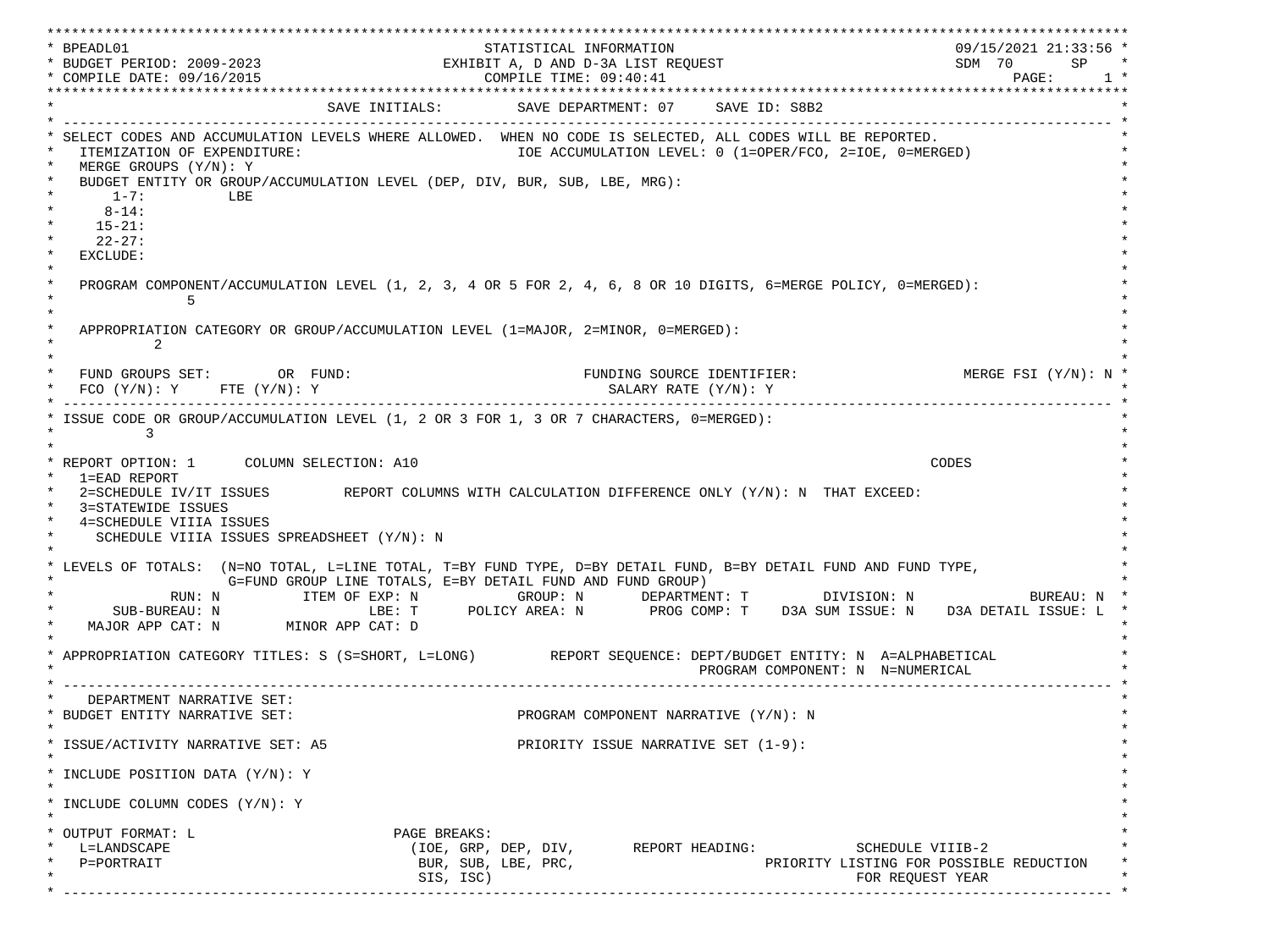\*\*\*\*\*\*\*\*\*\*\*\*\*\*\*\*\*\*\*\*\*\*\*\*\*\*\*\*\*\*\*\*\*\*\*\*\*\*\*\*\*\*\*\*\*\*\*\*\*\*\*\*\*\*\*\*\*\*\*\*\*\*\*\*\*\*\*\*\*\*\*\*\*\*\*\*\*\*\*\*\*\*\*\*\*\*\*\*\*\*\*\*\*\*\*\*\*\*\*\*\*\*\*\*\*\*\*\*\*\*\*\*\*\*\*\*\*\*\*\*\*\*\*\*\*\*\*\*\*\*\* \* BPEADL01 STATISTICAL INFORMATION 09/15/2021 21:33:56 \* \* BUDGET PERIOD: 2009-2023 EXHIBIT A, D AND D-3A LIST REQUEST SDM 70 SP \* \* COMPILE DATE: 09/16/2015 COMPILE TIME: 09:40:41 PAGE: 1 \* \*\*\*\*\*\*\*\*\*\*\*\*\*\*\*\*\*\*\*\*\*\*\*\*\*\*\*\*\*\*\*\*\*\*\*\*\*\*\*\*\*\*\*\*\*\*\*\*\*\*\*\*\*\*\*\*\*\*\*\*\*\*\*\*\*\*\*\*\*\*\*\*\*\*\*\*\*\*\*\*\*\*\*\*\*\*\*\*\*\*\*\*\*\*\*\*\*\*\*\*\*\*\*\*\*\*\*\*\*\*\*\*\*\*\*\*\*\*\*\*\*\*\*\*\*\*\*\*\*\*\* SAVE INITIALS: SAVE DEPARTMENT: 07 SAVE ID: S8B2 \* ------------------------------------------------------------------------------------------------------------------------------- \* SELECT CODES AND ACCUMULATION LEVELS WHERE ALLOWED. WHEN NO CODE IS SELECTED, ALL CODES WILL BE REPORTED. ITEMIZATION OF EXPENDITURE:  $\overline{10E}$  accumulation level: 0 (1=OPER/FCO, 2=IOE, 0=MERGED)  $MERGE$  GROUPS  $(Y/N): Y$ BUDGET ENTITY OR GROUP/ACCUMULATION LEVEL (DEP, DIV, BUR, SUB, LBE, MRG):  $*$  1-7: LBE  $*$  $*$  8-14:  $*$  $*$  15-21:  $*$  $*$  22-27: \* \* EXCLUDE: \*  $\star$   $\star$  \* PROGRAM COMPONENT/ACCUMULATION LEVEL (1, 2, 3, 4 OR 5 FOR 2, 4, 6, 8 OR 10 DIGITS, 6=MERGE POLICY, 0=MERGED): \*  $\star$  5  $\star$  $\star$   $\star$ APPROPRIATION CATEGORY OR GROUP/ACCUMULATION LEVEL (1=MAJOR, 2=MINOR, 0=MERGED):  $\star$  2  $\star$  $\star$   $\star$ FUND GROUPS SET: OR FUND: THE SOURCE IDENTIFIER: MERGE FSI (Y/N): N  $FCO (Y/N): Y$  FTE  $(Y/N): Y$  SALARY RATE  $(Y/N): Y$  \* ------------------------------------------------------------------------------------------------------------------------------- \* ISSUE CODE OR GROUP/ACCUMULATION LEVEL (1, 2 OR 3 FOR 1, 3 OR 7 CHARACTERS, 0=MERGED):  $\star$  3  $\star$  $\star$   $\star$  \* REPORT OPTION: 1 COLUMN SELECTION: A10 CODES \* \* 1=EAD REPORT \* 2=SCHEDULE IV/IT ISSUES REPORT COLUMNS WITH CALCULATION DIFFERENCE ONLY (Y/N): N THAT EXCEED: 3=STATEWIDE ISSUES 4=SCHEDULE VIIIA ISSUES SCHEDULE VIIIA ISSUES SPREADSHEET (Y/N): N \* \* \* LEVELS OF TOTALS: (N=NO TOTAL, L=LINE TOTAL, T=BY FUND TYPE, D=BY DETAIL FUND, B=BY DETAIL FUND AND FUND TYPE, \* G=FUND GROUP LINE TOTALS, E=BY DETAIL FUND AND FUND GROUP) \* RUN: N ITEM OF EXP: N GROUP: N DEPARTMENT: T DIVISION: N BUREAU: N \* \* SUB-BUREAU: N LBE: T POLICY AREA: N PROG COMP: T D3A SUM ISSUE: N D3A DETAIL ISSUE: L \* MAJOR APP CAT: N MINOR APP CAT: D \* \* APPROPRIATION CATEGORY TITLES: S (S=SHORT, L=LONG) REPORT SEQUENCE: DEPT/BUDGET ENTITY: N A=ALPHABETICAL PROGRAM COMPONENT: N N=NUMERICAL \* ------------------------------------------------------------------------------------------------------------------------------- \* DEPARTMENT NARRATIVE SET:<br>BUDGET ENTITY NARRATIVE SET: PROGRAM COMPONENT NARRATIVE (Y/N): N \* \* \* ISSUE/ACTIVITY NARRATIVE SET: A5 PRIORITY ISSUE NARRATIVE SET (1-9): \*  $\star$   $\star$  \* INCLUDE POSITION DATA (Y/N): Y \* \* \* INCLUDE COLUMN CODES  $(Y/N): Y$  \* \* \* OUTPUT FORMAT: L PAGE BREAKS: L=LANDSCAPE (IOE, GRP, DEP, DIV, REPORT HEADING: SCHEDULE VIIIB-2  $P = PORTRAIT$  and the policies of the purpose  $BUR$ ,  $SUB$ ,  $LBE$ ,  $PRC$ ,  $PRC$ ,  $PRC$ ,  $PRC$ ,  $PRC$ ,  $PRC$ ,  $PRC$ ,  $PRC$ ,  $PRC$ ,  $PRC$ ,  $PRC$ ,  $PRC$ ,  $PRC$ ,  $PRC$ ,  $PRC$ ,  $PRC$ ,  $PRC$ ,  $PRC$ ,  $PRC$ ,  $PRC$ ,  $PRC$ ,  $PRC$ ,  $PRC$ ,  $PRC$ ,  $PRC$ ,  $PRC$ ,  $PRC$ ,  $\text{SIS. ISC}$  isc) \* ------------------------------------------------------------------------------------------------------------------------------- \*